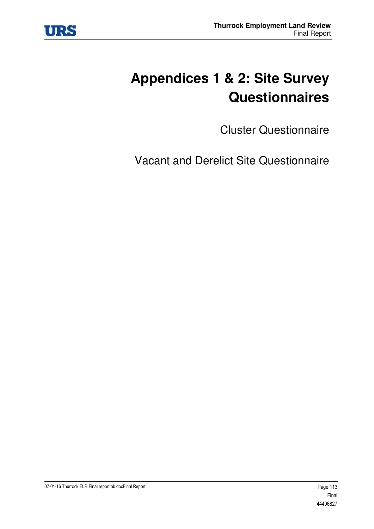

# **Appendices 1 & 2: Site Survey Questionnaires**

Cluster Questionnaire

Vacant and Derelict Site Questionnaire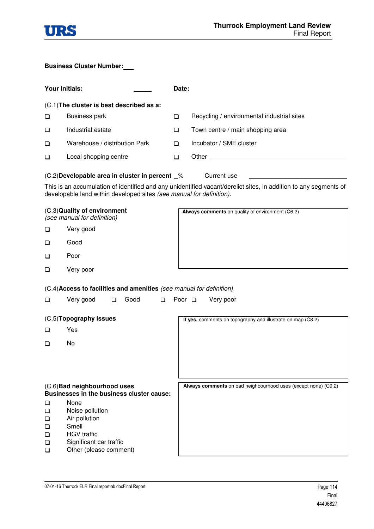

#### **Business Cluster Number:**

| <b>Your Initials:</b>                               |                                                                                                                              |   | Date:       |                                                                                                                  |
|-----------------------------------------------------|------------------------------------------------------------------------------------------------------------------------------|---|-------------|------------------------------------------------------------------------------------------------------------------|
|                                                     | (C.1) The cluster is best described as a:                                                                                    |   |             |                                                                                                                  |
| ❏                                                   | <b>Business park</b>                                                                                                         |   | $\Box$      | Recycling / environmental industrial sites                                                                       |
| ❏                                                   | Industrial estate                                                                                                            |   | ❏           | Town centre / main shopping area                                                                                 |
| ❏                                                   | Warehouse / distribution Park                                                                                                |   | ❏           | Incubator / SME cluster                                                                                          |
| ❏                                                   | Local shopping centre                                                                                                        |   | $\Box$      |                                                                                                                  |
|                                                     | (C.2) Developable area in cluster in percent \[ \times                                                                       |   |             | Current use                                                                                                      |
|                                                     | developable land within developed sites (see manual for definition).                                                         |   |             | This is an accumulation of identified and any unidentified vacant/derelict sites, in addition to any segments of |
|                                                     | (C.3) Quality of environment<br>(see manual for definition)                                                                  |   |             | Always comments on quality of environment (C6.2)                                                                 |
| ❏                                                   | Very good                                                                                                                    |   |             |                                                                                                                  |
| ❏                                                   | Good                                                                                                                         |   |             |                                                                                                                  |
| ❏                                                   | Poor                                                                                                                         |   |             |                                                                                                                  |
| ❏                                                   | Very poor                                                                                                                    |   |             |                                                                                                                  |
|                                                     | (C.4) Access to facilities and amenities (see manual for definition)                                                         |   |             |                                                                                                                  |
| □                                                   | Very good<br>Good<br>□                                                                                                       | □ | Poor $\Box$ | Very poor                                                                                                        |
|                                                     | (C.5) Topography issues                                                                                                      |   |             | If yes, comments on topography and illustrate on map (C8.2)                                                      |
| ப                                                   | Yes                                                                                                                          |   |             |                                                                                                                  |
| ❏                                                   | No                                                                                                                           |   |             |                                                                                                                  |
|                                                     |                                                                                                                              |   |             |                                                                                                                  |
|                                                     |                                                                                                                              |   |             |                                                                                                                  |
|                                                     | (C.6) Bad neighbourhood uses<br>Businesses in the business cluster cause:                                                    |   |             | Always comments on bad neighbourhood uses (except none) (C9.2)                                                   |
| ❏<br>$\Box$<br>❏<br>$\Box$<br>❏<br>$\Box$<br>$\Box$ | None<br>Noise pollution<br>Air pollution<br>Smell<br><b>HGV</b> traffic<br>Significant car traffic<br>Other (please comment) |   |             |                                                                                                                  |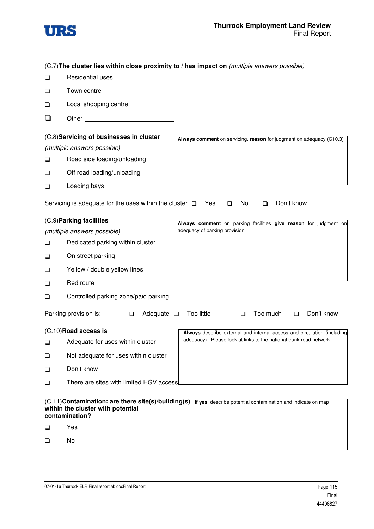

(C.7)**The cluster lies within close proximity to / has impact on** (multiple answers possible)

- **Q** Residential uses
- □ Town centre
- Local shopping centre
- Other

| (C.8)Servicing of businesses in cluster |                                                              |                                                                      |  |
|-----------------------------------------|--------------------------------------------------------------|----------------------------------------------------------------------|--|
|                                         |                                                              | Always comment on servicing, reason for judgment on adequacy (C10.3) |  |
|                                         | (multiple answers possible)                                  |                                                                      |  |
| □                                       | Road side loading/unloading                                  |                                                                      |  |
| $\Box$                                  | Off road loading/unloading                                   |                                                                      |  |
| $\Box$                                  | Loading bays                                                 |                                                                      |  |
|                                         | Servicing is adequate for the uses within the cluster $\Box$ | Don't know<br>Yes<br>No.<br>$\Box$<br>П                              |  |
| (C.9) Parking facilities                |                                                              | Always comment on parking facilities give reason for judgment on     |  |
|                                         | (multiple answers possible)                                  | adequacy of parking provision                                        |  |
| $\Box$                                  | Dedicated parking within cluster                             |                                                                      |  |
| $\Box$                                  | On street parking                                            |                                                                      |  |

- □ Yellow / double yellow lines
- □ Red route
- **Q** Controlled parking zone/paid parking

|                                                                                                            | Parking provision is:                                                                                             |  | Adequate $\square$ |                                                              | Too little                                                                                                                                     | Too much | Don't know |
|------------------------------------------------------------------------------------------------------------|-------------------------------------------------------------------------------------------------------------------|--|--------------------|--------------------------------------------------------------|------------------------------------------------------------------------------------------------------------------------------------------------|----------|------------|
| $\Box$<br>$\Box$<br>$\Box$                                                                                 | $(C.10)$ Road access is<br>Adequate for uses within cluster<br>Not adequate for uses within cluster<br>Don't know |  |                    |                                                              | Always describe external and internal access and circulation (including<br>adequacy). Please look at links to the national trunk road network. |          |            |
| $\Box$                                                                                                     | There are sites with limited HGV accessl                                                                          |  |                    |                                                              |                                                                                                                                                |          |            |
| (C.11) Contamination: are there site(s)/building(s)<br>within the cluster with potential<br>contamination? |                                                                                                                   |  |                    | If yes, describe potential contamination and indicate on map |                                                                                                                                                |          |            |

- Yes
- No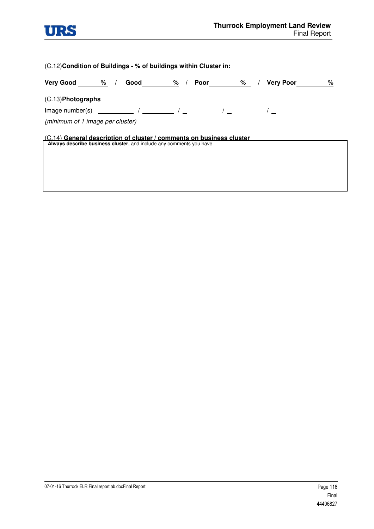

(C.12)**Condition of Buildings - % of buildings within Cluster in:** 

| Very Good %<br>Good<br>%<br>Poor<br>$\frac{9}{6}$<br><b>Very Poor</b>                                                                         | % |
|-----------------------------------------------------------------------------------------------------------------------------------------------|---|
| $(C.13)$ Photographs                                                                                                                          |   |
|                                                                                                                                               |   |
| (minimum of 1 image per cluster)                                                                                                              |   |
| $(C.14)$ General description of cluster / comments on business cluster<br>Always describe business cluster, and include any comments you have |   |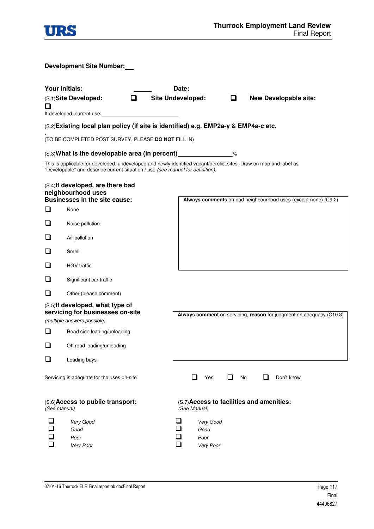|              |                                                                                                         | <b>Thurrock Employment Land Review</b><br><b>Final Report</b>                                                      |
|--------------|---------------------------------------------------------------------------------------------------------|--------------------------------------------------------------------------------------------------------------------|
|              | <b>Development Site Number:</b>                                                                         |                                                                                                                    |
| ◻            | <b>Your Initials:</b><br>◻<br>(S.1)Site Developed:<br>If developed, current use:                        | Date:<br><b>Site Undeveloped:</b><br><b>New Developable site:</b><br>□                                             |
|              |                                                                                                         | (S.2) Existing local plan policy (if site is identified) e.g. EMP2a-y & EMP4a-c etc.                               |
|              | (TO BE COMPLETED POST SURVEY, PLEASE DO NOT FILL IN)                                                    |                                                                                                                    |
|              | (S.3) What is the developable area (in percent) _________________________________                       |                                                                                                                    |
|              | "Developable" and describe current situation / use (see manual for definition).                         | This is applicable for developed, undeveloped and newly identified vacant/derelict sites. Draw on map and label as |
| □            | (S.4) If developed, are there bad<br>neighbourhood uses<br><b>Businesses in the site cause:</b><br>None | Always comments on bad neighbourhood uses (except none) (C9.2)                                                     |
| ப            | Noise pollution                                                                                         |                                                                                                                    |
| ப            |                                                                                                         |                                                                                                                    |
|              | Air pollution                                                                                           |                                                                                                                    |
| ப            | Smell                                                                                                   |                                                                                                                    |
| ப            | <b>HGV</b> traffic                                                                                      |                                                                                                                    |
| ப            | Significant car traffic                                                                                 |                                                                                                                    |
| ப            | Other (please comment)                                                                                  |                                                                                                                    |
|              | (S.5) If developed, what type of<br>servicing for businesses on-site<br>(multiple answers possible)     | Always comment on servicing, reason for judgment on adequacy (C10.3)                                               |
| □            | Road side loading/unloading                                                                             |                                                                                                                    |
| ❏            | Off road loading/unloading                                                                              |                                                                                                                    |
| ❏            | Loading bays                                                                                            |                                                                                                                    |
|              | Servicing is adequate for the uses on-site                                                              | ப<br>Yes<br>ப<br>No<br>ப<br>Don't know                                                                             |
| (See manual) | (S.6) Access to public transport:                                                                       | (S.7) Access to facilities and amenities:<br>(See Manual)                                                          |
| ப<br>❏       | Very Good<br>Good<br>Poor<br>Very Poor                                                                  | ❏<br>Very Good<br>$\Box$<br>Good<br>❏<br>Poor<br>$\Box$<br>Very Poor                                               |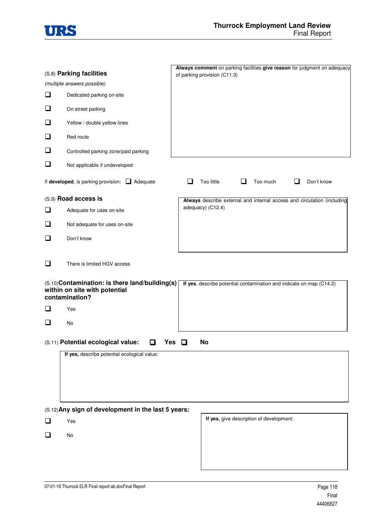

|                          |                                                                                                                                   | Always comment on parking facilities give reason for judgment on adequacy |  |  |  |
|--------------------------|-----------------------------------------------------------------------------------------------------------------------------------|---------------------------------------------------------------------------|--|--|--|
| (S.8) Parking facilities |                                                                                                                                   | of parking provision (C11.3)                                              |  |  |  |
|                          | (multiple answers possible)                                                                                                       |                                                                           |  |  |  |
| ❏                        | Dedicated parking on-site                                                                                                         |                                                                           |  |  |  |
| ❏                        | On street parking                                                                                                                 |                                                                           |  |  |  |
| ❏                        | Yellow / double yellow lines                                                                                                      |                                                                           |  |  |  |
| ❏                        | Red route                                                                                                                         |                                                                           |  |  |  |
| ⊔                        | Controlled parking zone/paid parking                                                                                              |                                                                           |  |  |  |
| ❏                        | Not applicable if undeveloped                                                                                                     |                                                                           |  |  |  |
|                          | If developed, is parking provision: $\Box$ Adequate                                                                               | Too little<br>Too much<br>Don't know<br>$\mathcal{L}_{\mathcal{A}}$       |  |  |  |
|                          | (S.9) Road access is                                                                                                              | Always describe external and internal access and circulation (including   |  |  |  |
| ப                        | Adequate for uses on-site                                                                                                         | adequacy) (C12.4)                                                         |  |  |  |
| ❏                        | Not adequate for uses on-site                                                                                                     |                                                                           |  |  |  |
| ❏                        | Don't know                                                                                                                        |                                                                           |  |  |  |
| ❏                        | There is limited HGV access<br>(S.10) Contamination: is there land/building(s)<br>within on site with potential<br>contamination? | If yes, describe potential contamination and indicate on map (C14.2)      |  |  |  |
| ப                        | Yes                                                                                                                               |                                                                           |  |  |  |
| ❏                        | No                                                                                                                                |                                                                           |  |  |  |
|                          | (S.11) Potential ecological value:<br>Yes<br>If yes, describe potential ecological value:                                         | No                                                                        |  |  |  |
|                          |                                                                                                                                   |                                                                           |  |  |  |
|                          | (S.12) Any sign of development in the last 5 years:                                                                               |                                                                           |  |  |  |
| $\Box$                   | Yes                                                                                                                               | If yes, give description of development:                                  |  |  |  |
| ❏                        | No                                                                                                                                |                                                                           |  |  |  |
|                          |                                                                                                                                   |                                                                           |  |  |  |
|                          |                                                                                                                                   |                                                                           |  |  |  |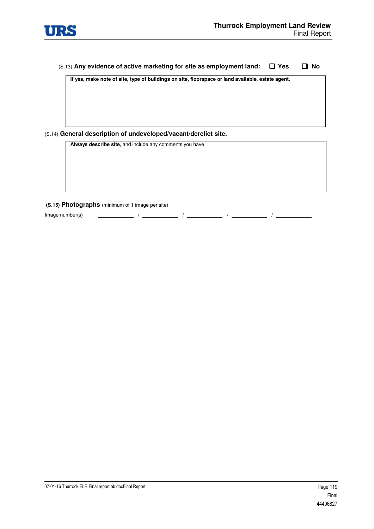

#### (S.13) **Any evidence of active marketing for site as employment land: Yes No**

**If yes, make note of site, type of buildings on site, floorspace or land available, estate agent.** 

#### (S.14) **General description of undeveloped/vacant/derelict site.**

**Always describe site**, and include any comments you have

#### **(S.15) Photographs** (minimum of 1 image per site)

 $\Box$  Image number(s)  $\Box$  /  $\Box$  /  $\Box$  /  $\Box$  /  $\Box$  /  $\Box$  /  $\Box$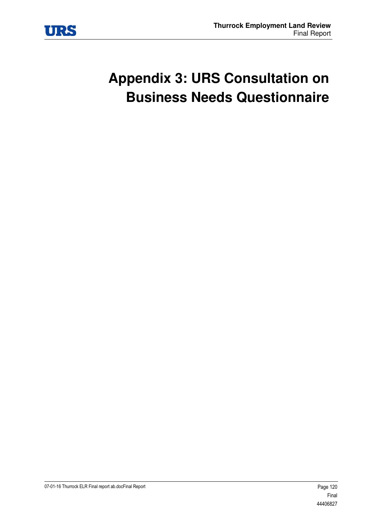

# **Appendix 3: URS Consultation on Business Needs Questionnaire**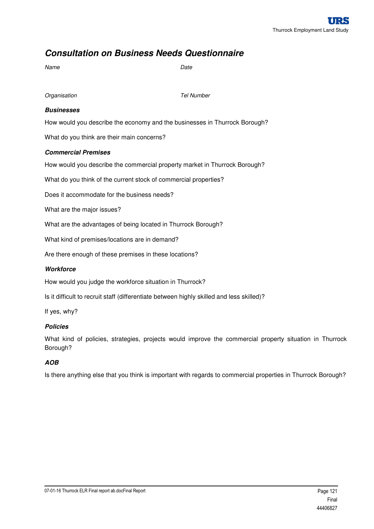# *Consultation on Business Needs Questionnaire*

| Name              | Date              |
|-------------------|-------------------|
| Organisation      | <b>Tel Number</b> |
| <b>Businesses</b> |                   |

How would you describe the economy and the businesses in Thurrock Borough?

What do you think are their main concerns?

#### *Commercial Premises*

How would you describe the commercial property market in Thurrock Borough?

What do you think of the current stock of commercial properties?

Does it accommodate for the business needs?

What are the major issues?

What are the advantages of being located in Thurrock Borough?

What kind of premises/locations are in demand?

Are there enough of these premises in these locations?

#### *Workforce*

How would you judge the workforce situation in Thurrock?

Is it difficult to recruit staff (differentiate between highly skilled and less skilled)?

If yes, why?

#### *Policies*

What kind of policies, strategies, projects would improve the commercial property situation in Thurrock Borough?

#### *AOB*

Is there anything else that you think is important with regards to commercial properties in Thurrock Borough?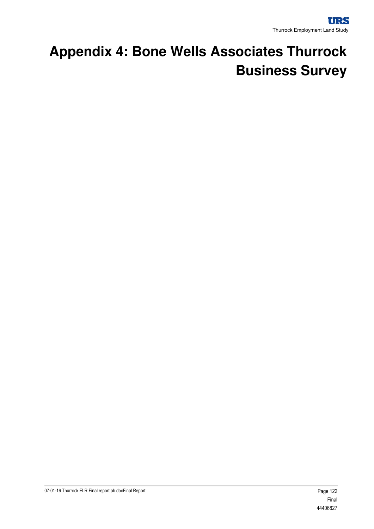# **Appendix 4: Bone Wells Associates Thurrock Business Survey**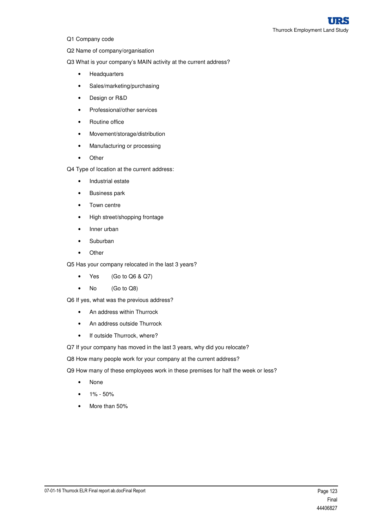- Q1 Company code
- Q2 Name of company/organisation
- Q3 What is your company's MAIN activity at the current address?
	- Headquarters
	- Sales/marketing/purchasing
	- Design or R&D
	- Professional/other services
	- Routine office
	- Movement/storage/distribution
	- Manufacturing or processing
	- Other
- Q4 Type of location at the current address:
	- Industrial estate
	- Business park
	- Town centre
	- High street/shopping frontage
	- Inner urban
	- Suburban
	- Other
- Q5 Has your company relocated in the last 3 years?
	- Yes (Go to Q6 & Q7)
	- No (Go to Q8)

Q6 If yes, what was the previous address?

- An address within Thurrock
- An address outside Thurrock
- If outside Thurrock, where?
- Q7 If your company has moved in the last 3 years, why did you relocate?

Q8 How many people work for your company at the current address?

- Q9 How many of these employees work in these premises for half the week or less?
	- None
	- $1\% 50\%$
	- More than 50%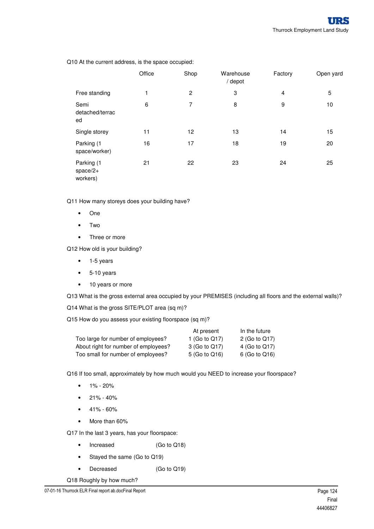|                                      | Office | Shop           | Warehouse<br>/ depot | Factory        | Open yard |
|--------------------------------------|--------|----------------|----------------------|----------------|-----------|
| Free standing                        | 1      | $\overline{2}$ | 3                    | $\overline{4}$ | 5         |
| Semi<br>detached/terrac<br>ed        | 6      | 7              | 8                    | 9              | 10        |
| Single storey                        | 11     | 12             | 13                   | 14             | 15        |
| Parking (1<br>space/worker)          | 16     | 17             | 18                   | 19             | 20        |
| Parking (1<br>$space/2+$<br>workers) | 21     | 22             | 23                   | 24             | 25        |

Q10 At the current address, is the space occupied:

Q11 How many storeys does your building have?

- One
- Two
- Three or more

Q12 How old is your building?

- 1-5 years
- 5-10 years
- 10 years or more

Q13 What is the gross external area occupied by your PREMISES (including all floors and the external walls)?

Q14 What is the gross SITE/PLOT area (sq m)?

Q15 How do you assess your existing floorspace (sq m)?

| At present       | In the future |
|------------------|---------------|
| 1 (Go to $Q17$ ) | 2 (Go to Q17) |
| 3 (Go to Q17)    | 4 (Go to Q17) |
| 5 (Go to Q16)    | 6 (Go to Q16) |
|                  |               |

Q16 If too small, approximately by how much would you NEED to increase your floorspace?

- $1\% 20\%$
- $\bullet$  21% 40%
- $41\% 60\%$
- More than 60%

Q17 In the last 3 years, has your floorspace:

- Increased (Go to Q18)
- Stayed the same (Go to Q19)
- Decreased (Go to Q19)

Q18 Roughly by how much?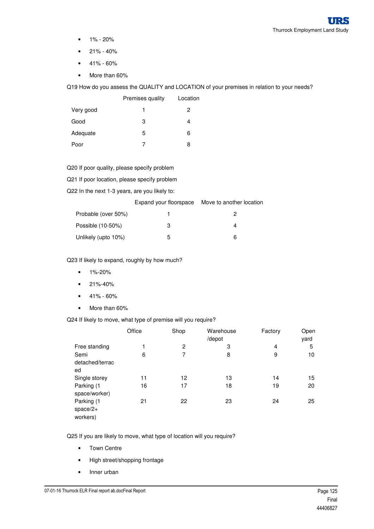- $1\% 20\%$
- 21% 40%
- $41\% 60\%$
- More than 60%

Q19 How do you assess the QUALITY and LOCATION of your premises in relation to your needs?

|           | Premises quality | Location |
|-----------|------------------|----------|
| Very good | 1                | 2        |
| Good      | 3                | 4        |
| Adequate  | 5                | 6        |
| Poor      |                  | 8        |

Q20 If poor quality, please specify problem

Q21 If poor location, please specify problem

Q22 In the next 1-3 years, are you likely to:

|                     | Expand your floorspace Move to another location |
|---------------------|-------------------------------------------------|
| Probable (over 50%) | 2                                               |
| Possible (10-50%)   | Δ                                               |
| Unlikely (upto 10%) | ี่ค                                             |

Q23 If likely to expand, roughly by how much?

- 1%-20%
- 21%-40%
- $41\% 60\%$
- More than 60%

Q24 If likely to move, what type of premise will you require?

|                                      | Office | Shop | Warehouse<br>/depot | Factory | Open<br>yard |
|--------------------------------------|--------|------|---------------------|---------|--------------|
| Free standing                        |        | 2    | 3                   | 4       | 5            |
| Semi<br>detached/terrac<br>ed        | 6      | 7    | 8                   | 9       | 10           |
| Single storey                        | 11     | 12   | 13                  | 14      | 15           |
| Parking (1<br>space/worker)          | 16     | 17   | 18                  | 19      | 20           |
| Parking (1<br>$space/2+$<br>workers) | 21     | 22   | 23                  | 24      | 25           |

Q25 If you are likely to move, what type of location will you require?

- Town Centre
- High street/shopping frontage
- Inner urban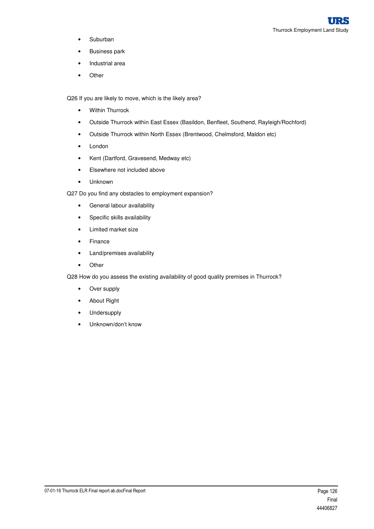- Suburban
- Business park
- Industrial area
- Other

Q26 If you are likely to move, which is the likely area?

- Within Thurrock
- Outside Thurrock within East Essex (Basildon, Benfleet, Southend, Rayleigh/Rochford)
- Outside Thurrock within North Essex (Brentwood, Chelmsford, Maldon etc)
- London
- Kent (Dartford, Gravesend, Medway etc)
- Elsewhere not included above
- Unknown
- Q27 Do you find any obstacles to employment expansion?
	- General labour availability
	- Specific skills availability
	- Limited market size
	- Finance
	- Land/premises availability
	- Other

Q28 How do you assess the existing availability of good quality premises in Thurrock?

- Over supply
- About Right
- Undersupply
- Unknown/don't know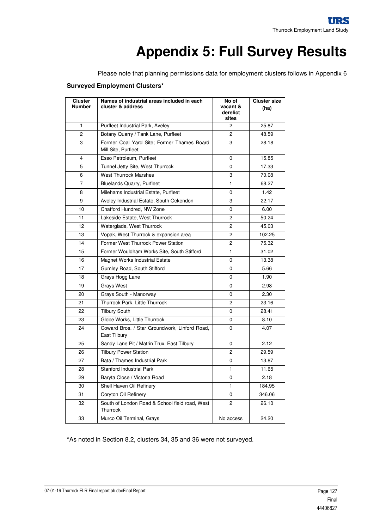# **Appendix 5: Full Survey Results**

Please note that planning permissions data for employment clusters follows in Appendix 6

#### **Surveyed Employment Clusters\***

| <b>Cluster</b><br><b>Number</b> | Names of industrial areas included in each<br>cluster & address   | No of<br>vacant &<br>derelict<br>sites | <b>Cluster size</b><br>(ha) |
|---------------------------------|-------------------------------------------------------------------|----------------------------------------|-----------------------------|
| $\mathbf{1}$                    | Purfleet Industrial Park, Aveley                                  | $\overline{c}$                         | 25.87                       |
| $\overline{c}$                  | Botany Quarry / Tank Lane, Purfleet                               | $\overline{c}$                         | 48.59                       |
| 3                               | Former Coal Yard Site; Former Thames Board<br>Mill Site, Purfleet | 3                                      | 28.18                       |
| 4                               | Esso Petroleum, Purfleet                                          | 0                                      | 15.85                       |
| 5                               | Tunnel Jetty Site, West Thurrock                                  | $\Omega$                               | 17.33                       |
| 6                               | <b>West Thurrock Marshes</b>                                      | 3                                      | 70.08                       |
| $\overline{7}$                  | <b>Bluelands Quarry, Purfleet</b>                                 | 1                                      | 68.27                       |
| 8                               | Milehams Industrial Estate, Purfleet                              | 0                                      | 1.42                        |
| 9                               | Aveley Industrial Estate, South Ockendon                          | 3                                      | 22.17                       |
| 10                              | Chafford Hundred, NW Zone                                         | 0                                      | 6.00                        |
| 11                              | Lakeside Estate, West Thurrock                                    | $\overline{c}$                         | 50.24                       |
| 12                              | Waterglade, West Thurrock                                         | $\overline{2}$                         | 45.03                       |
| 13                              | Vopak, West Thurrock & expansion area                             | $\overline{2}$                         | 102.25                      |
| 14                              | Former West Thurrock Power Station                                | 2                                      | 75.32                       |
| 15                              | Former Wouldham Works Site, South Stifford                        | 1                                      | 31.02                       |
| 16                              | <b>Magnet Works Industrial Estate</b>                             | $\Omega$                               | 13.38                       |
| 17                              | Gumley Road, South Stifford                                       | 0                                      | 5.66                        |
| 18                              | Grays Hogg Lane                                                   | 0                                      | 1.90                        |
| 19                              | <b>Grays West</b>                                                 | 0                                      | 2.98                        |
| 20                              | Grays South - Manorway                                            | 0                                      | 2.30                        |
| 21                              | Thurrock Park, Little Thurrock                                    | $\overline{c}$                         | 23.16                       |
| 22                              | <b>Tilbury South</b>                                              | 0                                      | 28.41                       |
| 23                              | Globe Works, Little Thurrock                                      | 0                                      | 8.10                        |
| 24                              | Coward Bros. / Star Groundwork, Linford Road,<br>East Tilbury     | 0                                      | 4.07                        |
| 25                              | Sandy Lane Pit / Matrin Trux, East Tilbury                        | 0                                      | 2.12                        |
| 26                              | <b>Tilbury Power Station</b>                                      | $\overline{c}$                         | 29.59                       |
| 27                              | Bata / Thames Industrial Park                                     | 0                                      | 13.87                       |
| 28                              | <b>Stanford Industrial Park</b>                                   | 1                                      | 11.65                       |
| 29                              | Baryta Close / Victoria Road                                      | 0                                      | 2.18                        |
| 30                              | Shell Haven Oil Refinery                                          | $\mathbf{1}$                           | 184.95                      |
| 31                              | Coryton Oil Refinery                                              | 0                                      | 346.06                      |
| 32                              | South of London Road & School field road, West<br>Thurrock        | $\overline{2}$                         | 26.10                       |
| 33                              | Murco Oil Terminal, Grays                                         | No access                              | 24.20                       |

\*As noted in Section 8.2, clusters 34, 35 and 36 were not surveyed.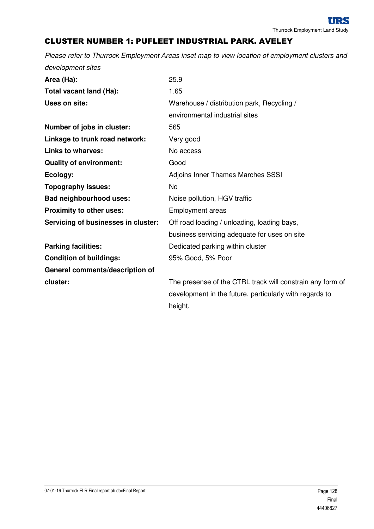### CLUSTER NUMBER 1: PUFLEET INDUSTRIAL PARK. AVELEY

Please refer to Thurrock Employment Areas inset map to view location of employment clusters and development sites

| Area (Ha):                          | 25.9                                                      |
|-------------------------------------|-----------------------------------------------------------|
| Total vacant land (Ha):             | 1.65                                                      |
| Uses on site:                       | Warehouse / distribution park, Recycling /                |
|                                     | environmental industrial sites                            |
| Number of jobs in cluster:          | 565                                                       |
| Linkage to trunk road network:      | Very good                                                 |
| <b>Links to wharves:</b>            | No access                                                 |
| <b>Quality of environment:</b>      | Good                                                      |
| Ecology:                            | <b>Adjoins Inner Thames Marches SSSI</b>                  |
| <b>Topography issues:</b>           | <b>No</b>                                                 |
| <b>Bad neighbourhood uses:</b>      | Noise pollution, HGV traffic                              |
| Proximity to other uses:            | <b>Employment areas</b>                                   |
| Servicing of businesses in cluster: | Off road loading / unloading, loading bays,               |
|                                     | business servicing adequate for uses on site              |
| <b>Parking facilities:</b>          | Dedicated parking within cluster                          |
| <b>Condition of buildings:</b>      | 95% Good, 5% Poor                                         |
| General comments/description of     |                                                           |
| cluster:                            | The presense of the CTRL track will constrain any form of |
|                                     | development in the future, particularly with regards to   |

height.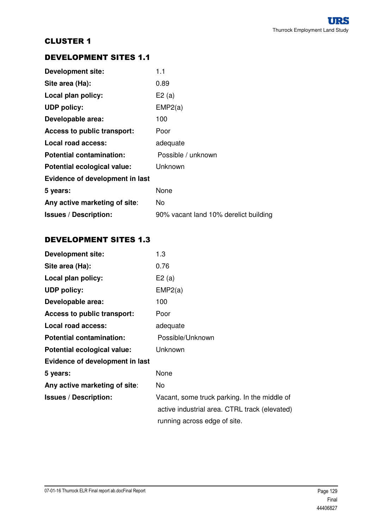## DEVELOPMENT SITES 1.1

| <b>Development site:</b>           | 1.1                                   |
|------------------------------------|---------------------------------------|
| Site area (Ha):                    | 0.89                                  |
| Local plan policy:                 | E2(a)                                 |
| <b>UDP policy:</b>                 | EMP2(a)                               |
| Developable area:                  | 100                                   |
| <b>Access to public transport:</b> | Poor                                  |
| Local road access:                 | adequate                              |
| <b>Potential contamination:</b>    | Possible / unknown                    |
| Potential ecological value:        | Unknown                               |
| Evidence of development in last    |                                       |
| 5 years:                           | None                                  |
| Any active marketing of site:      | No                                    |
| <b>Issues / Description:</b>       | 90% vacant land 10% derelict building |

# DEVELOPMENT SITES 1.3

| <b>Development site:</b>        | 1.3                                           |
|---------------------------------|-----------------------------------------------|
| Site area (Ha):                 | 0.76                                          |
| Local plan policy:              | E2(a)                                         |
| <b>UDP policy:</b>              | EMP2(a)                                       |
| Developable area:               | 100                                           |
| Access to public transport:     | Poor                                          |
| <b>Local road access:</b>       | adequate                                      |
| <b>Potential contamination:</b> | Possible/Unknown                              |
| Potential ecological value:     | Unknown                                       |
| Evidence of development in last |                                               |
| 5 years:                        | None                                          |
| Any active marketing of site:   | No.                                           |
| <b>Issues / Description:</b>    | Vacant, some truck parking. In the middle of  |
|                                 | active industrial area. CTRL track (elevated) |
|                                 | running across edge of site.                  |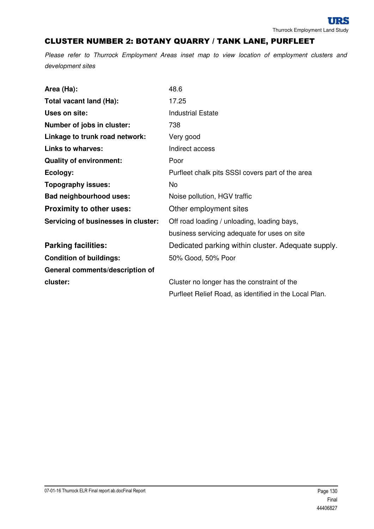### CLUSTER NUMBER 2: BOTANY QUARRY / TANK LANE, PURFLEET

| Area (Ha):                          | 48.6                                                   |  |
|-------------------------------------|--------------------------------------------------------|--|
| Total vacant land (Ha):             | 17.25                                                  |  |
| Uses on site:                       | <b>Industrial Estate</b>                               |  |
| Number of jobs in cluster:          | 738                                                    |  |
| Linkage to trunk road network:      | Very good                                              |  |
| <b>Links to wharves:</b>            | Indirect access                                        |  |
| <b>Quality of environment:</b>      | Poor                                                   |  |
| Ecology:                            | Purfleet chalk pits SSSI covers part of the area       |  |
| <b>Topography issues:</b>           | No                                                     |  |
| <b>Bad neighbourhood uses:</b>      | Noise pollution, HGV traffic                           |  |
| <b>Proximity to other uses:</b>     | Other employment sites                                 |  |
| Servicing of businesses in cluster: | Off road loading / unloading, loading bays,            |  |
|                                     | business servicing adequate for uses on site           |  |
| <b>Parking facilities:</b>          | Dedicated parking within cluster. Adequate supply.     |  |
| <b>Condition of buildings:</b>      | 50% Good, 50% Poor                                     |  |
| General comments/description of     |                                                        |  |
| cluster:                            | Cluster no longer has the constraint of the            |  |
|                                     | Purfleet Relief Road, as identified in the Local Plan. |  |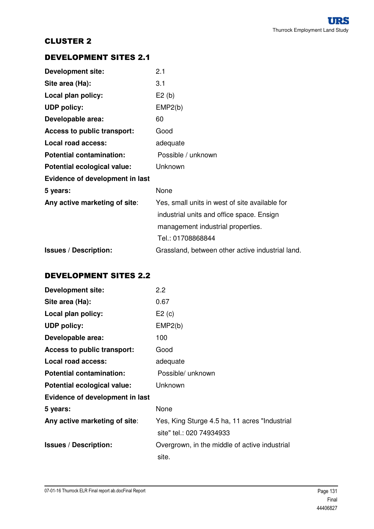### DEVELOPMENT SITES 2.1

| <b>Development site:</b>        | 2.1                                              |
|---------------------------------|--------------------------------------------------|
| Site area (Ha):                 | 3.1                                              |
| Local plan policy:              | E2(b)                                            |
| <b>UDP policy:</b>              | EMP2(b)                                          |
| Developable area:               | 60                                               |
| Access to public transport:     | Good                                             |
| Local road access:              | adequate                                         |
| <b>Potential contamination:</b> | Possible / unknown                               |
| Potential ecological value:     | Unknown                                          |
| Evidence of development in last |                                                  |
| 5 years:                        | None                                             |
| Any active marketing of site:   | Yes, small units in west of site available for   |
|                                 | industrial units and office space. Ensign        |
|                                 | management industrial properties.                |
|                                 | Tel.: 01708868844                                |
| <b>Issues / Description:</b>    | Grassland, between other active industrial land. |

### DEVELOPMENT SITES 2.2

| <b>Development site:</b>        | 2.2                                           |
|---------------------------------|-----------------------------------------------|
| Site area (Ha):                 | 0.67                                          |
| Local plan policy:              | E2(c)                                         |
| <b>UDP policy:</b>              | EMP2(b)                                       |
| Developable area:               | 100                                           |
| Access to public transport:     | Good                                          |
| Local road access:              | adequate                                      |
| <b>Potential contamination:</b> | Possible/ unknown                             |
| Potential ecological value:     | Unknown                                       |
| Evidence of development in last |                                               |
| 5 years:                        | None                                          |
| Any active marketing of site:   | Yes, King Sturge 4.5 ha, 11 acres "Industrial |
|                                 | site" tel.: 020 74934933                      |
| <b>Issues / Description:</b>    | Overgrown, in the middle of active industrial |
|                                 | site.                                         |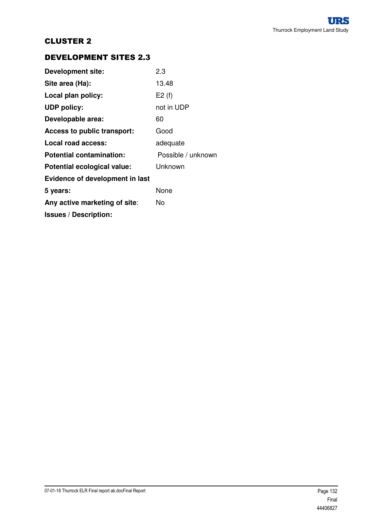## DEVELOPMENT SITES 2.3

| <b>Development site:</b>           | 2.3                |
|------------------------------------|--------------------|
| Site area (Ha):                    | 13.48              |
| Local plan policy:                 | E2(f)              |
| <b>UDP policy:</b>                 | not in UDP         |
| Developable area:                  | 60                 |
| <b>Access to public transport:</b> | Good               |
| Local road access:                 | adequate           |
| <b>Potential contamination:</b>    | Possible / unknown |
| Potential ecological value:        | Unknown            |
| Evidence of development in last    |                    |
| 5 years:                           | None               |
| Any active marketing of site:      | N٥                 |
| <b>Issues / Description:</b>       |                    |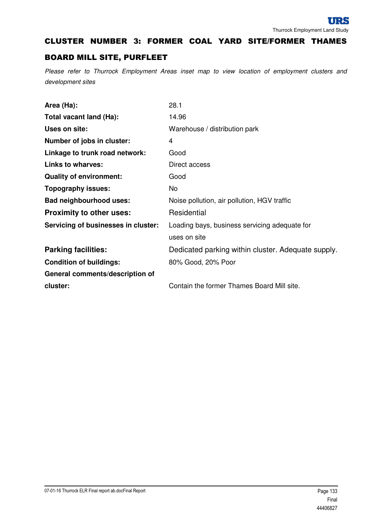#### CLUSTER NUMBER 3: FORMER COAL YARD SITE/FORMER THAMES

#### BOARD MILL SITE, PURFLEET

| Area (Ha):                          | 28.1                                               |
|-------------------------------------|----------------------------------------------------|
| Total vacant land (Ha):             | 14.96                                              |
| Uses on site:                       | Warehouse / distribution park                      |
| Number of jobs in cluster:          | 4                                                  |
| Linkage to trunk road network:      | Good                                               |
| <b>Links to wharves:</b>            | Direct access                                      |
| <b>Quality of environment:</b>      | Good                                               |
| <b>Topography issues:</b>           | No.                                                |
| <b>Bad neighbourhood uses:</b>      | Noise pollution, air pollution, HGV traffic        |
| <b>Proximity to other uses:</b>     | Residential                                        |
| Servicing of businesses in cluster: | Loading bays, business servicing adequate for      |
|                                     | uses on site                                       |
| <b>Parking facilities:</b>          | Dedicated parking within cluster. Adequate supply. |
| <b>Condition of buildings:</b>      | 80% Good, 20% Poor                                 |
| General comments/description of     |                                                    |
| cluster:                            | Contain the former Thames Board Mill site.         |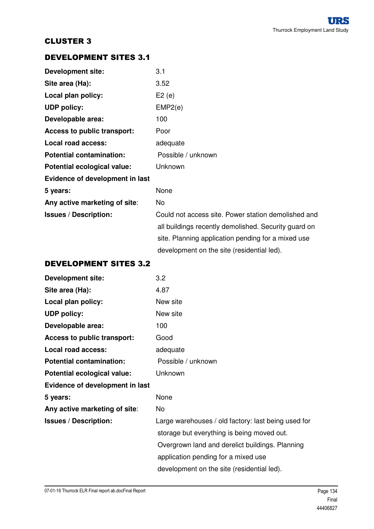## DEVELOPMENT SITES 3.1

| <b>Development site:</b>               | 3.1                                                  |
|----------------------------------------|------------------------------------------------------|
| Site area (Ha):                        | 3.52                                                 |
| Local plan policy:                     | E2(e)                                                |
| <b>UDP policy:</b>                     | EMP2(e)                                              |
| Developable area:                      | 100                                                  |
| <b>Access to public transport:</b>     | Poor                                                 |
| <b>Local road access:</b>              | adequate                                             |
| <b>Potential contamination:</b>        | Possible / unknown                                   |
| Potential ecological value:            | <b>Unknown</b>                                       |
| <b>Evidence of development in last</b> |                                                      |
| 5 years:                               | None                                                 |
| Any active marketing of site:          | No                                                   |
| <b>Issues / Description:</b>           | Could not access site. Power station demolished and  |
|                                        | all buildings recently demolished. Security guard on |
|                                        | site. Planning application pending for a mixed use   |
|                                        | development on the site (residential led).           |

#### DEVELOPMENT SITES 3.2

| <b>Development site:</b>        | 3.2                                                 |
|---------------------------------|-----------------------------------------------------|
| Site area (Ha):                 | 4.87                                                |
| Local plan policy:              | New site                                            |
| <b>UDP policy:</b>              | New site                                            |
| Developable area:               | 100                                                 |
| Access to public transport:     | Good                                                |
| Local road access:              | adequate                                            |
| <b>Potential contamination:</b> | Possible / unknown                                  |
| Potential ecological value:     | Unknown                                             |
| Evidence of development in last |                                                     |
| 5 years:                        | None                                                |
| Any active marketing of site:   | No                                                  |
| <b>Issues / Description:</b>    | Large warehouses / old factory: last being used for |
|                                 | storage but everything is being moved out.          |
|                                 | Overgrown land and derelict buildings. Planning     |
|                                 | application pending for a mixed use                 |
|                                 | development on the site (residential led).          |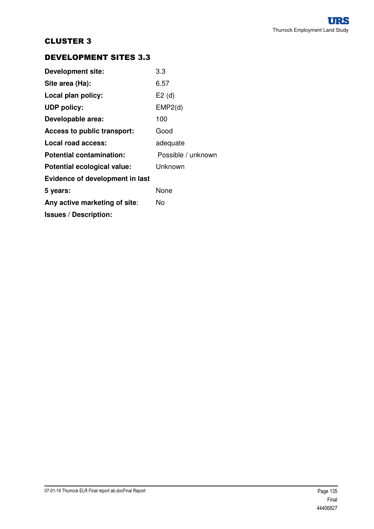## DEVELOPMENT SITES 3.3

| <b>Development site:</b>        | 3.3                |
|---------------------------------|--------------------|
| Site area (Ha):                 | 6.57               |
| Local plan policy:              | E2(d)              |
| <b>UDP policy:</b>              | EMP2(d)            |
| Developable area:               | 100                |
| Access to public transport:     | Good               |
| Local road access:              | adequate           |
| <b>Potential contamination:</b> | Possible / unknown |
| Potential ecological value:     | Unknown            |
| Evidence of development in last |                    |
| 5 years:                        | None               |
| Any active marketing of site:   | N٥                 |
| <b>Issues / Description:</b>    |                    |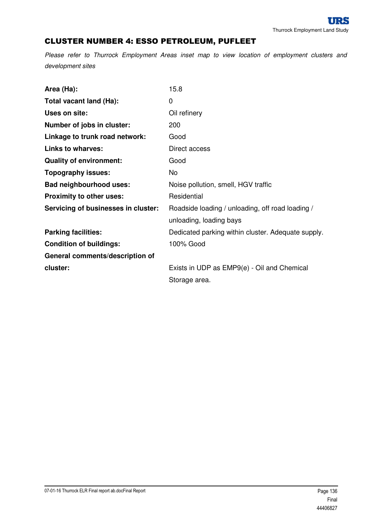# CLUSTER NUMBER 4: ESSO PETROLEUM, PUFLEET

| Area (Ha):                          | 15.8                                               |
|-------------------------------------|----------------------------------------------------|
| Total vacant land (Ha):             | 0                                                  |
| Uses on site:                       | Oil refinery                                       |
| Number of jobs in cluster:          | 200                                                |
| Linkage to trunk road network:      | Good                                               |
| <b>Links to wharves:</b>            | Direct access                                      |
| <b>Quality of environment:</b>      | Good                                               |
| <b>Topography issues:</b>           | No                                                 |
| <b>Bad neighbourhood uses:</b>      | Noise pollution, smell, HGV traffic                |
| Proximity to other uses:            | Residential                                        |
| Servicing of businesses in cluster: | Roadside loading / unloading, off road loading /   |
|                                     | unloading, loading bays                            |
| <b>Parking facilities:</b>          | Dedicated parking within cluster. Adequate supply. |
| <b>Condition of buildings:</b>      | 100% Good                                          |
| General comments/description of     |                                                    |
| cluster:                            | Exists in UDP as EMP9(e) - Oil and Chemical        |
|                                     | Storage area.                                      |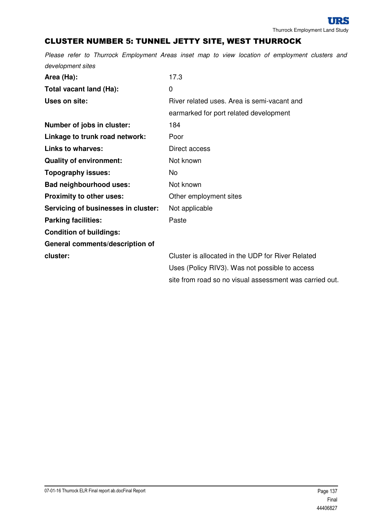# CLUSTER NUMBER 5: TUNNEL JETTY SITE, WEST THURROCK

| Area (Ha):                          | 17.3                                                    |
|-------------------------------------|---------------------------------------------------------|
| Total vacant land (Ha):             | 0                                                       |
| Uses on site:                       | River related uses. Area is semi-vacant and             |
|                                     | earmarked for port related development                  |
| Number of jobs in cluster:          | 184                                                     |
| Linkage to trunk road network:      | Poor                                                    |
| <b>Links to wharves:</b>            | Direct access                                           |
| <b>Quality of environment:</b>      | Not known                                               |
| <b>Topography issues:</b>           | No.                                                     |
| <b>Bad neighbourhood uses:</b>      | Not known                                               |
| Proximity to other uses:            | Other employment sites                                  |
| Servicing of businesses in cluster: | Not applicable                                          |
| <b>Parking facilities:</b>          | Paste                                                   |
| <b>Condition of buildings:</b>      |                                                         |
| General comments/description of     |                                                         |
| cluster:                            | Cluster is allocated in the UDP for River Related       |
|                                     | Uses (Policy RIV3). Was not possible to access          |
|                                     | site from road so no visual assessment was carried out. |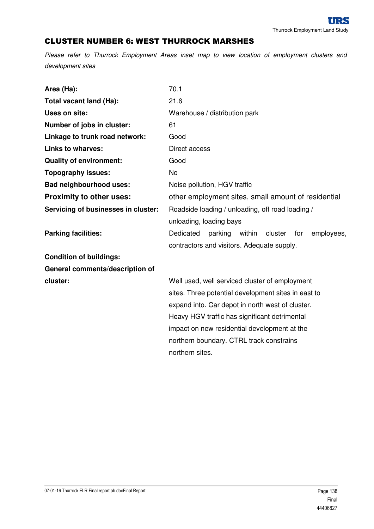#### CLUSTER NUMBER 6: WEST THURROCK MARSHES

| Area (Ha):                          | 70.1                                                           |
|-------------------------------------|----------------------------------------------------------------|
| Total vacant land (Ha):             | 21.6                                                           |
| Uses on site:                       | Warehouse / distribution park                                  |
| Number of jobs in cluster:          | 61                                                             |
| Linkage to trunk road network:      | Good                                                           |
| <b>Links to wharves:</b>            | Direct access                                                  |
| <b>Quality of environment:</b>      | Good                                                           |
| <b>Topography issues:</b>           | <b>No</b>                                                      |
| Bad neighbourhood uses:             | Noise pollution, HGV traffic                                   |
| <b>Proximity to other uses:</b>     | other employment sites, small amount of residential            |
| Servicing of businesses in cluster: | Roadside loading / unloading, off road loading /               |
|                                     | unloading, loading bays                                        |
| <b>Parking facilities:</b>          | Dedicated<br>parking<br>within<br>cluster<br>for<br>employees, |
|                                     | contractors and visitors. Adequate supply.                     |
| <b>Condition of buildings:</b>      |                                                                |
| General comments/description of     |                                                                |
| cluster:                            | Well used, well serviced cluster of employment                 |
|                                     | sites. Three potential development sites in east to            |
|                                     | expand into. Car depot in north west of cluster.               |
|                                     | Heavy HGV traffic has significant detrimental                  |
|                                     | impact on new residential development at the                   |
|                                     | northern boundary. CTRL track constrains                       |
|                                     | northern sites.                                                |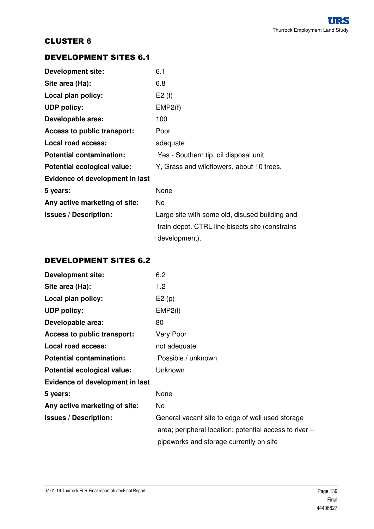## DEVELOPMENT SITES 6.1

| <b>Development site:</b>        | 6.1                                              |
|---------------------------------|--------------------------------------------------|
| Site area (Ha):                 | 6.8                                              |
| Local plan policy:              | E2(f)                                            |
| <b>UDP policy:</b>              | EMP2(f)                                          |
| Developable area:               | 100                                              |
| Access to public transport:     | Poor                                             |
| Local road access:              | adequate                                         |
| <b>Potential contamination:</b> | Yes - Southern tip, oil disposal unit            |
| Potential ecological value:     | Y, Grass and wildflowers, about 10 trees.        |
| Evidence of development in last |                                                  |
| 5 years:                        | None                                             |
| Any active marketing of site:   | No.                                              |
| <b>Issues / Description:</b>    | Large site with some old, disused building and   |
|                                 | train depot. CTRL line bisects site (constrains) |
|                                 | development).                                    |

#### DEVELOPMENT SITES 6.2

| <b>Development site:</b>        | 6.2                                                    |
|---------------------------------|--------------------------------------------------------|
| Site area (Ha):                 | 1.2                                                    |
| Local plan policy:              | E2(p)                                                  |
| <b>UDP policy:</b>              | EMP2(I)                                                |
| Developable area:               | 80                                                     |
| Access to public transport:     | Very Poor                                              |
| Local road access:              | not adequate                                           |
| <b>Potential contamination:</b> | Possible / unknown                                     |
| Potential ecological value:     | Unknown                                                |
| Evidence of development in last |                                                        |
| 5 years:                        | None                                                   |
| Any active marketing of site:   | No                                                     |
| <b>Issues / Description:</b>    | General vacant site to edge of well used storage       |
|                                 | area; peripheral location; potential access to river – |
|                                 | pipeworks and storage currently on site                |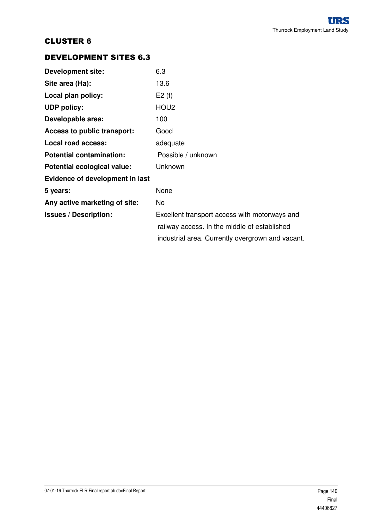## DEVELOPMENT SITES 6.3

| <b>Development site:</b>               | 6.3                                                                                                                                               |
|----------------------------------------|---------------------------------------------------------------------------------------------------------------------------------------------------|
| Site area (Ha):                        | 13.6                                                                                                                                              |
| Local plan policy:                     | E2(f)                                                                                                                                             |
| <b>UDP policy:</b>                     | HOU <sub>2</sub>                                                                                                                                  |
| Developable area:                      | 100                                                                                                                                               |
| <b>Access to public transport:</b>     | Good                                                                                                                                              |
| Local road access:                     | adequate                                                                                                                                          |
| <b>Potential contamination:</b>        | Possible / unknown                                                                                                                                |
| Potential ecological value:            | Unknown                                                                                                                                           |
| <b>Evidence of development in last</b> |                                                                                                                                                   |
| 5 years:                               | None                                                                                                                                              |
| Any active marketing of site:          | No.                                                                                                                                               |
| <b>Issues / Description:</b>           | Excellent transport access with motorways and<br>railway access. In the middle of established<br>industrial area. Currently overgrown and vacant. |
|                                        |                                                                                                                                                   |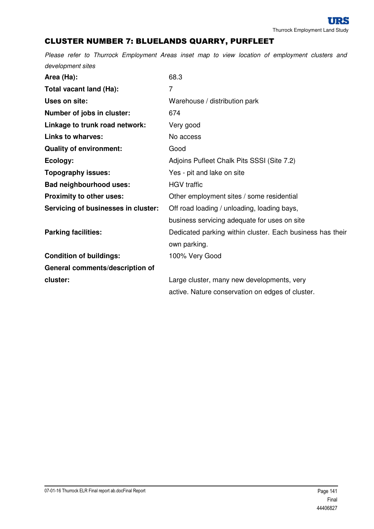# CLUSTER NUMBER 7: BLUELANDS QUARRY, PURFLEET

| Area (Ha):                          | 68.3                                                      |
|-------------------------------------|-----------------------------------------------------------|
| Total vacant land (Ha):             | 7                                                         |
| Uses on site:                       | Warehouse / distribution park                             |
| Number of jobs in cluster:          | 674                                                       |
| Linkage to trunk road network:      | Very good                                                 |
| <b>Links to wharves:</b>            | No access                                                 |
| <b>Quality of environment:</b>      | Good                                                      |
| Ecology:                            | Adjoins Pufleet Chalk Pits SSSI (Site 7.2)                |
| <b>Topography issues:</b>           | Yes - pit and lake on site                                |
| <b>Bad neighbourhood uses:</b>      | <b>HGV</b> traffic                                        |
| Proximity to other uses:            | Other employment sites / some residential                 |
| Servicing of businesses in cluster: | Off road loading / unloading, loading bays,               |
|                                     | business servicing adequate for uses on site              |
| <b>Parking facilities:</b>          | Dedicated parking within cluster. Each business has their |
|                                     | own parking.                                              |
| <b>Condition of buildings:</b>      | 100% Very Good                                            |
| General comments/description of     |                                                           |
| cluster:                            | Large cluster, many new developments, very                |
|                                     | active. Nature conservation on edges of cluster.          |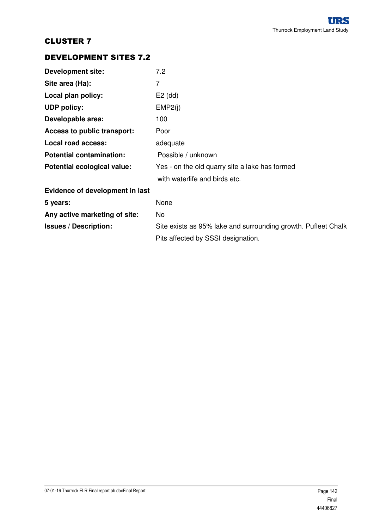## DEVELOPMENT SITES 7.2

| <b>Development site:</b>        | 7.2                                                           |
|---------------------------------|---------------------------------------------------------------|
| Site area (Ha):                 | 7                                                             |
| Local plan policy:              | $E2$ (dd)                                                     |
| <b>UDP policy:</b>              | EMP2(i)                                                       |
| Developable area:               | 100                                                           |
| Access to public transport:     | Poor                                                          |
| Local road access:              | adequate                                                      |
| <b>Potential contamination:</b> | Possible / unknown                                            |
| Potential ecological value:     | Yes - on the old quarry site a lake has formed                |
|                                 | with waterlife and birds etc.                                 |
| Evidence of development in last |                                                               |
| 5 years:                        | None                                                          |
| Any active marketing of site:   | No.                                                           |
| <b>Issues / Description:</b>    | Site exists as 95% lake and surrounding growth. Pufleet Chalk |
|                                 | Pits affected by SSSI designation.                            |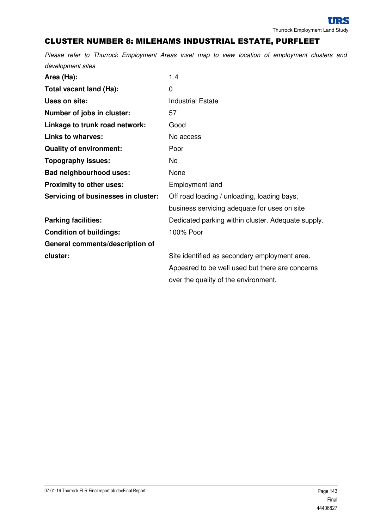#### CLUSTER NUMBER 8: MILEHAMS INDUSTRIAL ESTATE, PURFLEET

| Area (Ha):                          | 1.4                                                |
|-------------------------------------|----------------------------------------------------|
| Total vacant land (Ha):             | $\mathbf 0$                                        |
| Uses on site:                       | <b>Industrial Estate</b>                           |
| Number of jobs in cluster:          | 57                                                 |
| Linkage to trunk road network:      | Good                                               |
| <b>Links to wharves:</b>            | No access                                          |
| <b>Quality of environment:</b>      | Poor                                               |
| Topography issues:                  | No                                                 |
| <b>Bad neighbourhood uses:</b>      | None                                               |
| Proximity to other uses:            | <b>Employment land</b>                             |
| Servicing of businesses in cluster: | Off road loading / unloading, loading bays,        |
|                                     | business servicing adequate for uses on site       |
| <b>Parking facilities:</b>          | Dedicated parking within cluster. Adequate supply. |
| <b>Condition of buildings:</b>      | 100% Poor                                          |
| General comments/description of     |                                                    |
| cluster:                            | Site identified as secondary employment area.      |
|                                     | Appeared to be well used but there are concerns    |
|                                     | over the quality of the environment.               |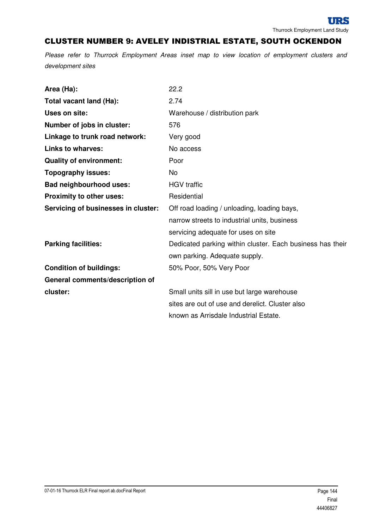# CLUSTER NUMBER 9: AVELEY INDISTRIAL ESTATE, SOUTH OCKENDON

| Area (Ha):                          | 22.2                                                      |
|-------------------------------------|-----------------------------------------------------------|
| Total vacant land (Ha):             | 2.74                                                      |
| Uses on site:                       | Warehouse / distribution park                             |
| Number of jobs in cluster:          | 576                                                       |
| Linkage to trunk road network:      | Very good                                                 |
| <b>Links to wharves:</b>            | No access                                                 |
| <b>Quality of environment:</b>      | Poor                                                      |
| <b>Topography issues:</b>           | No                                                        |
| <b>Bad neighbourhood uses:</b>      | <b>HGV</b> traffic                                        |
| <b>Proximity to other uses:</b>     | Residential                                               |
| Servicing of businesses in cluster: | Off road loading / unloading, loading bays,               |
|                                     | narrow streets to industrial units, business              |
|                                     | servicing adequate for uses on site                       |
| <b>Parking facilities:</b>          | Dedicated parking within cluster. Each business has their |
|                                     | own parking. Adequate supply.                             |
| <b>Condition of buildings:</b>      | 50% Poor, 50% Very Poor                                   |
| General comments/description of     |                                                           |
| cluster:                            | Small units sill in use but large warehouse               |
|                                     | sites are out of use and derelict. Cluster also           |
|                                     | known as Arrisdale Industrial Estate.                     |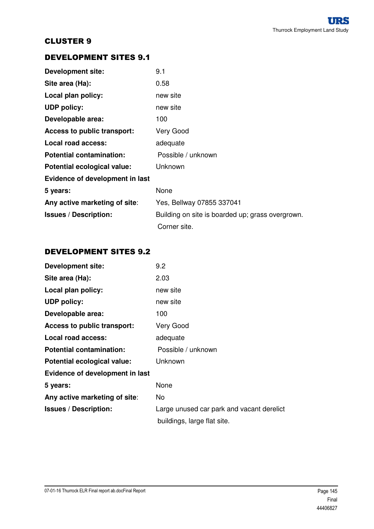## DEVELOPMENT SITES 9.1

| <b>Development site:</b>        | 9.1                                              |
|---------------------------------|--------------------------------------------------|
| Site area (Ha):                 | 0.58                                             |
| Local plan policy:              | new site                                         |
| <b>UDP</b> policy:              | new site                                         |
| Developable area:               | 100                                              |
| Access to public transport:     | Very Good                                        |
| Local road access:              | adequate                                         |
| <b>Potential contamination:</b> | Possible / unknown                               |
| Potential ecological value:     | Unknown                                          |
| Evidence of development in last |                                                  |
| 5 years:                        | None                                             |
| Any active marketing of site:   | Yes, Bellway 07855 337041                        |
| <b>Issues / Description:</b>    | Building on site is boarded up; grass overgrown. |
|                                 | Corner site.                                     |

## DEVELOPMENT SITES 9.2

| <b>Development site:</b>        | 9.2                                       |
|---------------------------------|-------------------------------------------|
| Site area (Ha):                 | 2.03                                      |
| Local plan policy:              | new site                                  |
| <b>UDP policy:</b>              | new site                                  |
| Developable area:               | 100                                       |
| Access to public transport:     | Very Good                                 |
| Local road access:              | adequate                                  |
| <b>Potential contamination:</b> | Possible / unknown                        |
| Potential ecological value:     | Unknown                                   |
| Evidence of development in last |                                           |
| 5 years:                        | None                                      |
| Any active marketing of site:   | No.                                       |
| <b>Issues / Description:</b>    | Large unused car park and vacant derelict |
|                                 | buildings, large flat site.               |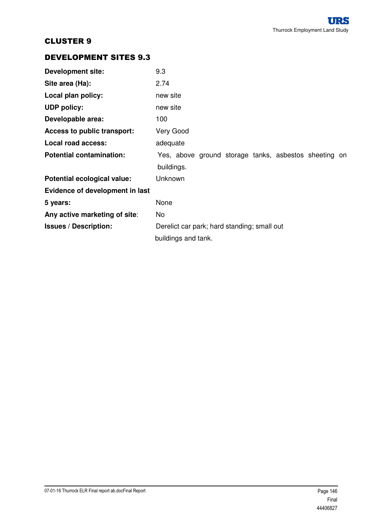## DEVELOPMENT SITES 9.3

| <b>Development site:</b>        | 9.3                                                   |  |  |
|---------------------------------|-------------------------------------------------------|--|--|
| Site area (Ha):                 | 2.74                                                  |  |  |
| Local plan policy:              | new site                                              |  |  |
| <b>UDP policy:</b>              | new site                                              |  |  |
| Developable area:               | 100                                                   |  |  |
| Access to public transport:     | Very Good                                             |  |  |
| Local road access:              | adequate                                              |  |  |
| <b>Potential contamination:</b> | Yes, above ground storage tanks, asbestos sheeting on |  |  |
|                                 | buildings.                                            |  |  |
| Potential ecological value:     | Unknown                                               |  |  |
| Evidence of development in last |                                                       |  |  |
| 5 years:                        | None                                                  |  |  |
| Any active marketing of site:   | No                                                    |  |  |
| <b>Issues / Description:</b>    | Derelict car park; hard standing; small out           |  |  |
|                                 | buildings and tank.                                   |  |  |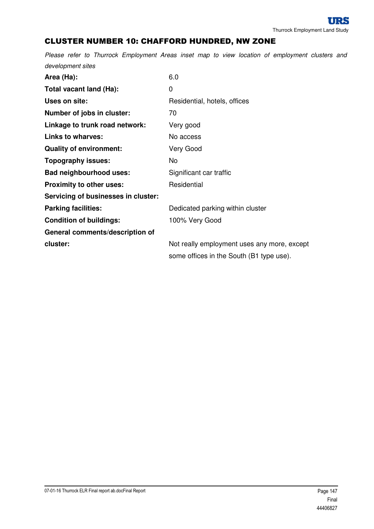# CLUSTER NUMBER 10: CHAFFORD HUNDRED, NW ZONE

| Area (Ha):                          | 6.0                                         |
|-------------------------------------|---------------------------------------------|
| Total vacant land (Ha):             | 0                                           |
| Uses on site:                       | Residential, hotels, offices                |
| Number of jobs in cluster:          | 70                                          |
| Linkage to trunk road network:      | Very good                                   |
| <b>Links to wharves:</b>            | No access                                   |
| <b>Quality of environment:</b>      | <b>Very Good</b>                            |
| <b>Topography issues:</b>           | No                                          |
| <b>Bad neighbourhood uses:</b>      | Significant car traffic                     |
| <b>Proximity to other uses:</b>     | Residential                                 |
| Servicing of businesses in cluster: |                                             |
| <b>Parking facilities:</b>          | Dedicated parking within cluster            |
| <b>Condition of buildings:</b>      | 100% Very Good                              |
| General comments/description of     |                                             |
| cluster:                            | Not really employment uses any more, except |
|                                     | some offices in the South (B1 type use).    |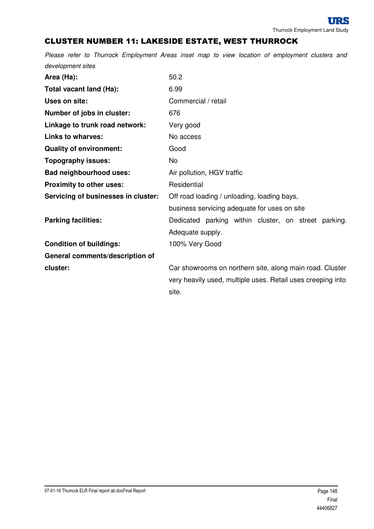# CLUSTER NUMBER 11: LAKESIDE ESTATE, WEST THURROCK

| Area (Ha):                          | 50.2                                                        |
|-------------------------------------|-------------------------------------------------------------|
| Total vacant land (Ha):             | 6.99                                                        |
| Uses on site:                       | Commercial / retail                                         |
| Number of jobs in cluster:          | 676                                                         |
| Linkage to trunk road network:      | Very good                                                   |
| <b>Links to wharves:</b>            | No access                                                   |
| <b>Quality of environment:</b>      | Good                                                        |
| <b>Topography issues:</b>           | No                                                          |
| <b>Bad neighbourhood uses:</b>      | Air pollution, HGV traffic                                  |
| Proximity to other uses:            | Residential                                                 |
| Servicing of businesses in cluster: | Off road loading / unloading, loading bays,                 |
|                                     | business servicing adequate for uses on site                |
| <b>Parking facilities:</b>          | Dedicated parking within cluster, on street parking.        |
|                                     | Adequate supply.                                            |
| <b>Condition of buildings:</b>      | 100% Very Good                                              |
| General comments/description of     |                                                             |
| cluster:                            | Car showrooms on northern site, along main road. Cluster    |
|                                     | very heavily used, multiple uses. Retail uses creeping into |
|                                     | site.                                                       |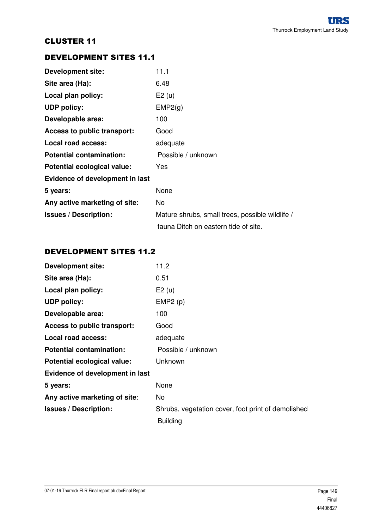## DEVELOPMENT SITES 11.1

| <b>Development site:</b>        | 11.1                                            |
|---------------------------------|-------------------------------------------------|
| Site area (Ha):                 | 6.48                                            |
| Local plan policy:              | E2(u)                                           |
| <b>UDP</b> policy:              | EMP2(g)                                         |
| Developable area:               | 100                                             |
| Access to public transport:     | Good                                            |
| Local road access:              | adequate                                        |
| <b>Potential contamination:</b> | Possible / unknown                              |
| Potential ecological value:     | Yes                                             |
| Evidence of development in last |                                                 |
| 5 years:                        | None                                            |
| Any active marketing of site:   | No.                                             |
| <b>Issues / Description:</b>    | Mature shrubs, small trees, possible wildlife / |
|                                 | fauna Ditch on eastern tide of site.            |

## DEVELOPMENT SITES 11.2

| <b>Development site:</b>        | 11.2                                               |
|---------------------------------|----------------------------------------------------|
| Site area (Ha):                 | 0.51                                               |
| Local plan policy:              | E2(u)                                              |
| <b>UDP policy:</b>              | EMP2(p)                                            |
| Developable area:               | 100                                                |
| Access to public transport:     | Good                                               |
| Local road access:              | adequate                                           |
| <b>Potential contamination:</b> | Possible / unknown                                 |
| Potential ecological value:     | Unknown                                            |
| Evidence of development in last |                                                    |
| 5 years:                        | None                                               |
| Any active marketing of site:   | No                                                 |
| <b>Issues / Description:</b>    | Shrubs, vegetation cover, foot print of demolished |
|                                 | <b>Building</b>                                    |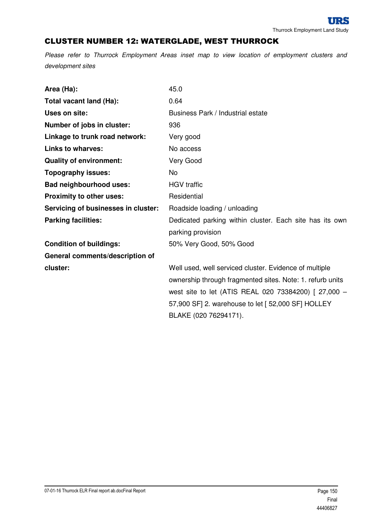# CLUSTER NUMBER 12: WATERGLADE, WEST THURROCK

| Area (Ha):                          | 45.0                                                      |
|-------------------------------------|-----------------------------------------------------------|
| Total vacant land (Ha):             | 0.64                                                      |
| Uses on site:                       | Business Park / Industrial estate                         |
| Number of jobs in cluster:          | 936                                                       |
| Linkage to trunk road network:      | Very good                                                 |
| <b>Links to wharves:</b>            | No access                                                 |
| <b>Quality of environment:</b>      | Very Good                                                 |
| <b>Topography issues:</b>           | <b>No</b>                                                 |
| <b>Bad neighbourhood uses:</b>      | <b>HGV</b> traffic                                        |
| Proximity to other uses:            | Residential                                               |
| Servicing of businesses in cluster: | Roadside loading / unloading                              |
| <b>Parking facilities:</b>          | Dedicated parking within cluster. Each site has its own   |
|                                     | parking provision                                         |
| <b>Condition of buildings:</b>      | 50% Very Good, 50% Good                                   |
| General comments/description of     |                                                           |
| cluster:                            | Well used, well serviced cluster. Evidence of multiple    |
|                                     | ownership through fragmented sites. Note: 1. refurb units |
|                                     | west site to let (ATIS REAL 020 73384200) [ 27,000 -      |
|                                     | 57,900 SF] 2. warehouse to let [ 52,000 SF] HOLLEY        |
|                                     | BLAKE (020 76294171).                                     |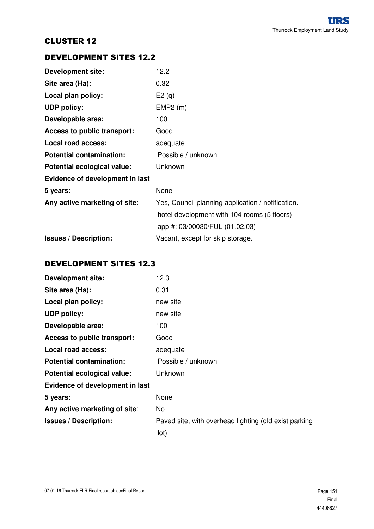## DEVELOPMENT SITES 12.2

| <b>Development site:</b>        | 12.2                                              |
|---------------------------------|---------------------------------------------------|
| Site area (Ha):                 | 0.32                                              |
| Local plan policy:              | E2(q)                                             |
| <b>UDP policy:</b>              | EMP2(m)                                           |
| Developable area:               | 100                                               |
| Access to public transport:     | Good                                              |
| Local road access:              | adequate                                          |
| <b>Potential contamination:</b> | Possible / unknown                                |
| Potential ecological value:     | Unknown                                           |
| Evidence of development in last |                                                   |
| 5 years:                        | None                                              |
| Any active marketing of site:   | Yes, Council planning application / notification. |
|                                 | hotel development with 104 rooms (5 floors)       |
|                                 | app #: 03/00030/FUL (01.02.03)                    |
| <b>Issues / Description:</b>    | Vacant, except for skip storage.                  |

## DEVELOPMENT SITES 12.3

| <b>Development site:</b>        | 12.3                                                  |
|---------------------------------|-------------------------------------------------------|
| Site area (Ha):                 | 0.31                                                  |
| Local plan policy:              | new site                                              |
| <b>UDP policy:</b>              | new site                                              |
| Developable area:               | 100                                                   |
| Access to public transport:     | Good                                                  |
| Local road access:              | adequate                                              |
| <b>Potential contamination:</b> | Possible / unknown                                    |
| Potential ecological value:     | Unknown                                               |
| Evidence of development in last |                                                       |
| 5 years:                        | None                                                  |
| Any active marketing of site:   | No.                                                   |
| <b>Issues / Description:</b>    | Paved site, with overhead lighting (old exist parking |
|                                 | lot)                                                  |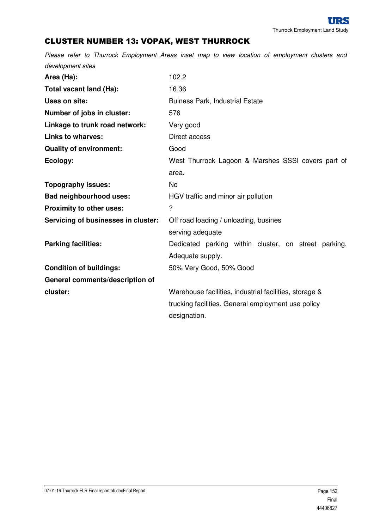# CLUSTER NUMBER 13: VOPAK, WEST THURROCK

| Area (Ha):                          | 102.2                                                  |
|-------------------------------------|--------------------------------------------------------|
| Total vacant land (Ha):             | 16.36                                                  |
| Uses on site:                       | <b>Buiness Park, Industrial Estate</b>                 |
| Number of jobs in cluster:          | 576                                                    |
| Linkage to trunk road network:      | Very good                                              |
| <b>Links to wharves:</b>            | Direct access                                          |
| <b>Quality of environment:</b>      | Good                                                   |
| Ecology:                            | West Thurrock Lagoon & Marshes SSSI covers part of     |
|                                     | area.                                                  |
| <b>Topography issues:</b>           | No.                                                    |
| <b>Bad neighbourhood uses:</b>      | HGV traffic and minor air pollution                    |
| Proximity to other uses:            | ?                                                      |
| Servicing of businesses in cluster: | Off road loading / unloading, busines                  |
|                                     | serving adequate                                       |
| <b>Parking facilities:</b>          | Dedicated parking within cluster, on street parking.   |
|                                     | Adequate supply.                                       |
| <b>Condition of buildings:</b>      | 50% Very Good, 50% Good                                |
| General comments/description of     |                                                        |
| cluster:                            | Warehouse facilities, industrial facilities, storage & |
|                                     | trucking facilities. General employment use policy     |
|                                     | designation.                                           |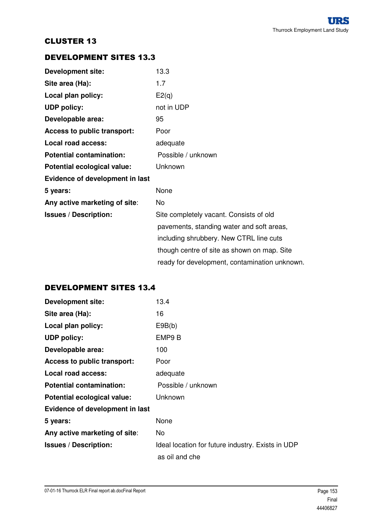## DEVELOPMENT SITES 13.3

| <b>Development site:</b>        | 13.3                                          |
|---------------------------------|-----------------------------------------------|
| Site area (Ha):                 | 1.7                                           |
| Local plan policy:              | E2(q)                                         |
| <b>UDP policy:</b>              | not in UDP                                    |
| Developable area:               | 95                                            |
| Access to public transport:     | Poor                                          |
| Local road access:              | adequate                                      |
| <b>Potential contamination:</b> | Possible / unknown                            |
| Potential ecological value:     | Unknown                                       |
| Evidence of development in last |                                               |
| 5 years:                        | None                                          |
| Any active marketing of site:   | No                                            |
| <b>Issues / Description:</b>    | Site completely vacant. Consists of old       |
|                                 | pavements, standing water and soft areas,     |
|                                 | including shrubbery. New CTRL line cuts       |
|                                 | though centre of site as shown on map. Site   |
|                                 | ready for development, contamination unknown. |

# DEVELOPMENT SITES 13.4

| <b>Development site:</b>        | 13.4                                              |
|---------------------------------|---------------------------------------------------|
| Site area (Ha):                 | 16                                                |
| Local plan policy:              | E9B(b)                                            |
| <b>UDP policy:</b>              | EMP9 B                                            |
| Developable area:               | 100                                               |
| Access to public transport:     | Poor                                              |
| Local road access:              | adequate                                          |
| <b>Potential contamination:</b> | Possible / unknown                                |
| Potential ecological value:     | Unknown                                           |
| Evidence of development in last |                                                   |
| 5 years:                        | None                                              |
| Any active marketing of site:   | No.                                               |
| <b>Issues / Description:</b>    | Ideal location for future industry. Exists in UDP |
|                                 | as oil and che                                    |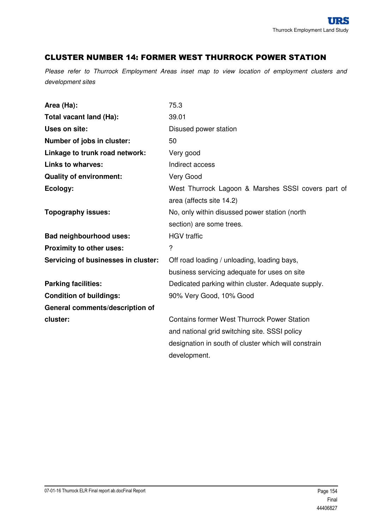#### CLUSTER NUMBER 14: FORMER WEST THURROCK POWER STATION

| Area (Ha):                          | 75.3                                                 |
|-------------------------------------|------------------------------------------------------|
| Total vacant land (Ha):             | 39.01                                                |
| Uses on site:                       | Disused power station                                |
| Number of jobs in cluster:          | 50                                                   |
| Linkage to trunk road network:      | Very good                                            |
| <b>Links to wharves:</b>            | Indirect access                                      |
| <b>Quality of environment:</b>      | Very Good                                            |
| Ecology:                            | West Thurrock Lagoon & Marshes SSSI covers part of   |
|                                     | area (affects site 14.2)                             |
| <b>Topography issues:</b>           | No, only within disussed power station (north        |
|                                     | section) are some trees.                             |
| <b>Bad neighbourhood uses:</b>      | <b>HGV</b> traffic                                   |
| Proximity to other uses:            | $\overline{?}$                                       |
| Servicing of businesses in cluster: | Off road loading / unloading, loading bays,          |
|                                     | business servicing adequate for uses on site         |
| <b>Parking facilities:</b>          | Dedicated parking within cluster. Adequate supply.   |
| <b>Condition of buildings:</b>      | 90% Very Good, 10% Good                              |
| General comments/description of     |                                                      |
| cluster:                            | <b>Contains former West Thurrock Power Station</b>   |
|                                     | and national grid switching site. SSSI policy        |
|                                     | designation in south of cluster which will constrain |
|                                     | development.                                         |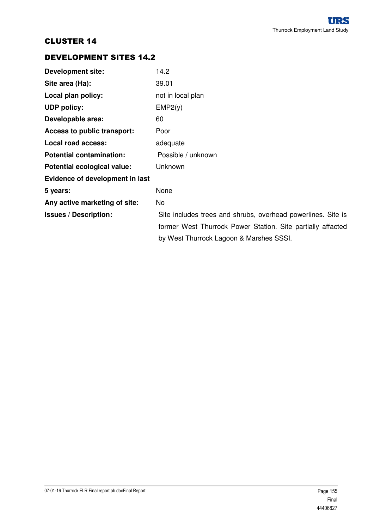# DEVELOPMENT SITES 14.2

| <b>Development site:</b>           | 14.2                                                         |
|------------------------------------|--------------------------------------------------------------|
| Site area (Ha):                    | 39.01                                                        |
| Local plan policy:                 | not in local plan                                            |
| <b>UDP policy:</b>                 | EMP2(y)                                                      |
| Developable area:                  | 60                                                           |
| <b>Access to public transport:</b> | Poor                                                         |
| Local road access:                 | adequate                                                     |
| <b>Potential contamination:</b>    | Possible / unknown                                           |
| Potential ecological value:        | Unknown                                                      |
| Evidence of development in last    |                                                              |
| 5 years:                           | None                                                         |
| Any active marketing of site:      | No.                                                          |
| <b>Issues / Description:</b>       | Site includes trees and shrubs, overhead powerlines. Site is |
|                                    | former West Thurrock Power Station. Site partially affacted  |
|                                    | by West Thurrock Lagoon & Marshes SSSI.                      |
|                                    |                                                              |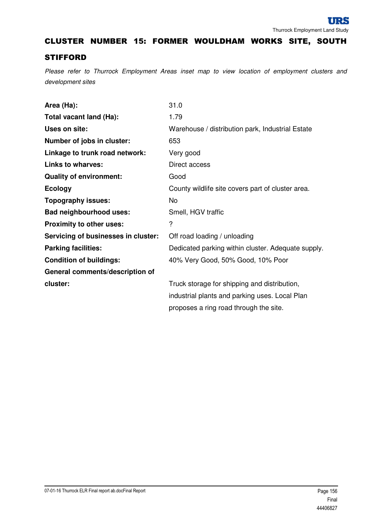CLUSTER NUMBER 15: FORMER WOULDHAM WORKS SITE, SOUTH

#### **STIFFORD**

| Area (Ha):                          | 31.0                                               |
|-------------------------------------|----------------------------------------------------|
| Total vacant land (Ha):             | 1.79                                               |
| Uses on site:                       | Warehouse / distribution park, Industrial Estate   |
| Number of jobs in cluster:          | 653                                                |
| Linkage to trunk road network:      | Very good                                          |
| <b>Links to wharves:</b>            | Direct access                                      |
| <b>Quality of environment:</b>      | Good                                               |
| <b>Ecology</b>                      | County wildlife site covers part of cluster area.  |
| <b>Topography issues:</b>           | <b>No</b>                                          |
| <b>Bad neighbourhood uses:</b>      | Smell, HGV traffic                                 |
| Proximity to other uses:            | ?                                                  |
| Servicing of businesses in cluster: | Off road loading / unloading                       |
| <b>Parking facilities:</b>          | Dedicated parking within cluster. Adequate supply. |
| <b>Condition of buildings:</b>      | 40% Very Good, 50% Good, 10% Poor                  |
| General comments/description of     |                                                    |
| cluster:                            | Truck storage for shipping and distribution,       |
|                                     | industrial plants and parking uses. Local Plan     |
|                                     | proposes a ring road through the site.             |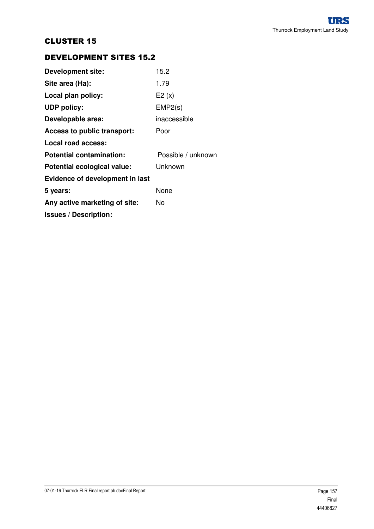## DEVELOPMENT SITES 15.2

| <b>Development site:</b>        | 15.2               |
|---------------------------------|--------------------|
| Site area (Ha):                 | 1.79               |
| Local plan policy:              | E2(x)              |
| <b>UDP policy:</b>              | EMP2(s)            |
| Developable area:               | inaccessible       |
| Access to public transport:     | Poor               |
| Local road access:              |                    |
| <b>Potential contamination:</b> | Possible / unknown |
| Potential ecological value:     | Unknown            |
| Evidence of development in last |                    |
| 5 years:                        | None               |
| Any active marketing of site:   | N٥                 |
| <b>Issues / Description:</b>    |                    |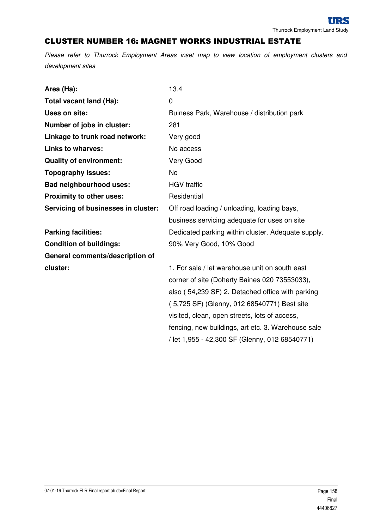#### CLUSTER NUMBER 16: MAGNET WORKS INDUSTRIAL ESTATE

Please refer to Thurrock Employment Areas inset map to view location of employment clusters and development sites

| Area (Ha):                          | 13.4                                               |
|-------------------------------------|----------------------------------------------------|
| Total vacant land (Ha):             | 0                                                  |
| Uses on site:                       | Buiness Park, Warehouse / distribution park        |
| Number of jobs in cluster:          | 281                                                |
| Linkage to trunk road network:      | Very good                                          |
| <b>Links to wharves:</b>            | No access                                          |
| <b>Quality of environment:</b>      | Very Good                                          |
| <b>Topography issues:</b>           | <b>No</b>                                          |
| <b>Bad neighbourhood uses:</b>      | <b>HGV</b> traffic                                 |
| Proximity to other uses:            | Residential                                        |
| Servicing of businesses in cluster: | Off road loading / unloading, loading bays,        |
|                                     | business servicing adequate for uses on site       |
| <b>Parking facilities:</b>          | Dedicated parking within cluster. Adequate supply. |
| <b>Condition of buildings:</b>      | 90% Very Good, 10% Good                            |
| General comments/description of     |                                                    |
| cluster:                            | 1. For sale / let warehouse unit on south east     |
|                                     | corner of site (Doherty Baines 020 73553033),      |
|                                     | also (54,239 SF) 2. Detached office with parking   |
|                                     | (5,725 SF) (Glenny, 012 68540771) Best site        |
|                                     | visited, clean, open streets, lots of access,      |
|                                     | fencing, new buildings, art etc. 3. Warehouse sale |

/ let 1,955 - 42,300 SF (Glenny, 012 68540771)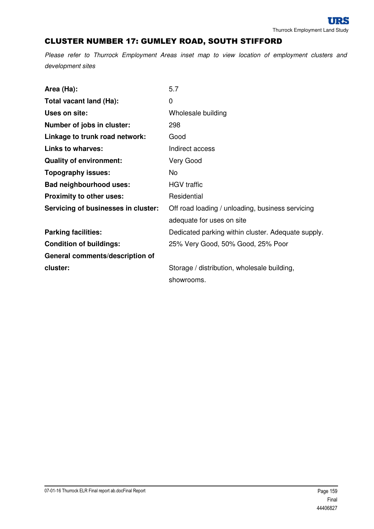# CLUSTER NUMBER 17: GUMLEY ROAD, SOUTH STIFFORD

| Area (Ha):                          | 5.7                                                |
|-------------------------------------|----------------------------------------------------|
| Total vacant land (Ha):             | 0                                                  |
| Uses on site:                       | Wholesale building                                 |
| Number of jobs in cluster:          | 298                                                |
| Linkage to trunk road network:      | Good                                               |
| <b>Links to wharves:</b>            | Indirect access                                    |
| <b>Quality of environment:</b>      | Very Good                                          |
| <b>Topography issues:</b>           | No                                                 |
| <b>Bad neighbourhood uses:</b>      | <b>HGV</b> traffic                                 |
| Proximity to other uses:            | Residential                                        |
| Servicing of businesses in cluster: | Off road loading / unloading, business servicing   |
|                                     | adequate for uses on site                          |
| <b>Parking facilities:</b>          | Dedicated parking within cluster. Adequate supply. |
| <b>Condition of buildings:</b>      | 25% Very Good, 50% Good, 25% Poor                  |
| General comments/description of     |                                                    |
| cluster:                            | Storage / distribution, wholesale building,        |
|                                     | showrooms.                                         |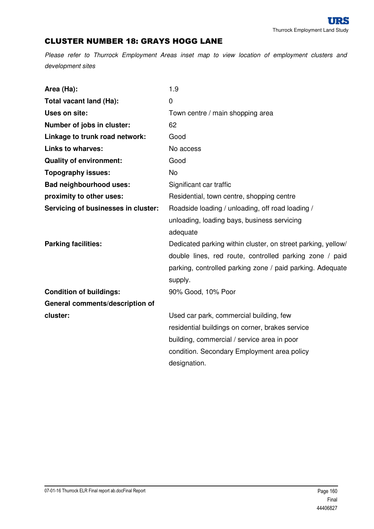## CLUSTER NUMBER 18: GRAYS HOGG LANE

| Area (Ha):                          | 1.9                                                          |
|-------------------------------------|--------------------------------------------------------------|
| Total vacant land (Ha):             | $\mathbf 0$                                                  |
| Uses on site:                       | Town centre / main shopping area                             |
| Number of jobs in cluster:          | 62                                                           |
| Linkage to trunk road network:      | Good                                                         |
| <b>Links to wharves:</b>            | No access                                                    |
| <b>Quality of environment:</b>      | Good                                                         |
| <b>Topography issues:</b>           | No                                                           |
| <b>Bad neighbourhood uses:</b>      | Significant car traffic                                      |
| proximity to other uses:            | Residential, town centre, shopping centre                    |
| Servicing of businesses in cluster: | Roadside loading / unloading, off road loading /             |
|                                     | unloading, loading bays, business servicing                  |
|                                     | adequate                                                     |
| <b>Parking facilities:</b>          | Dedicated parking within cluster, on street parking, yellow/ |
|                                     | double lines, red route, controlled parking zone / paid      |
|                                     | parking, controlled parking zone / paid parking. Adequate    |
|                                     | supply.                                                      |
| <b>Condition of buildings:</b>      | 90% Good, 10% Poor                                           |
| General comments/description of     |                                                              |
| cluster:                            | Used car park, commercial building, few                      |
|                                     | residential buildings on corner, brakes service              |
|                                     | building, commercial / service area in poor                  |
|                                     | condition. Secondary Employment area policy                  |
|                                     | designation.                                                 |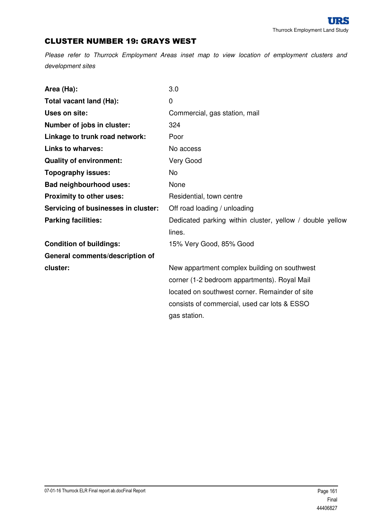### CLUSTER NUMBER 19: GRAYS WEST

| Area (Ha):                          | 3.0                                                      |
|-------------------------------------|----------------------------------------------------------|
| Total vacant land (Ha):             | 0                                                        |
| <b>Uses on site:</b>                | Commercial, gas station, mail                            |
| Number of jobs in cluster:          | 324                                                      |
| Linkage to trunk road network:      | Poor                                                     |
| <b>Links to wharves:</b>            | No access                                                |
| <b>Quality of environment:</b>      | Very Good                                                |
| <b>Topography issues:</b>           | <b>No</b>                                                |
| <b>Bad neighbourhood uses:</b>      | None                                                     |
| Proximity to other uses:            | Residential, town centre                                 |
| Servicing of businesses in cluster: | Off road loading / unloading                             |
| <b>Parking facilities:</b>          | Dedicated parking within cluster, yellow / double yellow |
|                                     | lines.                                                   |
| <b>Condition of buildings:</b>      | 15% Very Good, 85% Good                                  |
| General comments/description of     |                                                          |
| cluster:                            | New appartment complex building on southwest             |
|                                     | corner (1-2 bedroom appartments). Royal Mail             |
|                                     | located on southwest corner. Remainder of site           |
|                                     | consists of commercial, used car lots & ESSO             |
|                                     | gas station.                                             |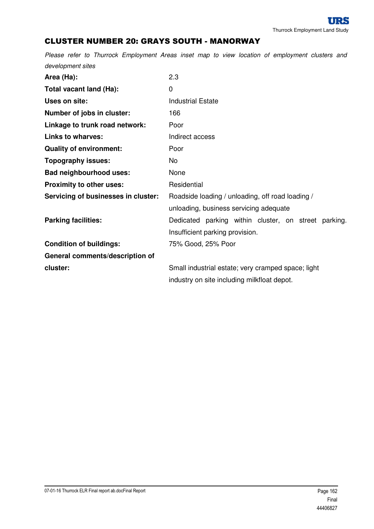# CLUSTER NUMBER 20: GRAYS SOUTH - MANORWAY

| Area (Ha):                          | 2.3                                                  |
|-------------------------------------|------------------------------------------------------|
| Total vacant land (Ha):             | 0                                                    |
| Uses on site:                       | <b>Industrial Estate</b>                             |
| Number of jobs in cluster:          | 166                                                  |
| Linkage to trunk road network:      | Poor                                                 |
| <b>Links to wharves:</b>            | Indirect access                                      |
| <b>Quality of environment:</b>      | Poor                                                 |
| <b>Topography issues:</b>           | No.                                                  |
| <b>Bad neighbourhood uses:</b>      | None                                                 |
| Proximity to other uses:            | Residential                                          |
| Servicing of businesses in cluster: | Roadside loading / unloading, off road loading /     |
|                                     | unloading, business servicing adequate               |
| <b>Parking facilities:</b>          | Dedicated parking within cluster, on street parking. |
|                                     | Insufficient parking provision.                      |
| <b>Condition of buildings:</b>      | 75% Good, 25% Poor                                   |
| General comments/description of     |                                                      |
| cluster:                            | Small industrial estate; very cramped space; light   |
|                                     | industry on site including milkfloat depot.          |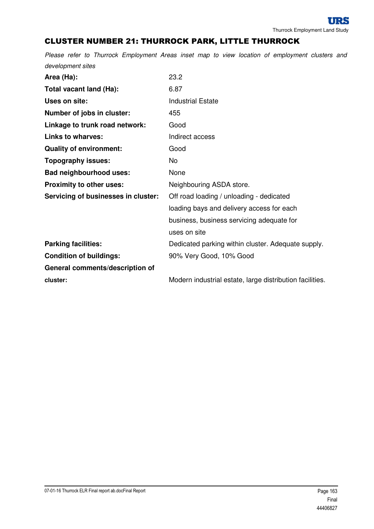# CLUSTER NUMBER 21: THURROCK PARK, LITTLE THURROCK

| Area (Ha):                          | 23.2                                               |
|-------------------------------------|----------------------------------------------------|
| Total vacant land (Ha):             | 6.87                                               |
| Uses on site:                       | <b>Industrial Estate</b>                           |
| Number of jobs in cluster:          | 455                                                |
| Linkage to trunk road network:      | Good                                               |
| <b>Links to wharves:</b>            | Indirect access                                    |
| <b>Quality of environment:</b>      | Good                                               |
| <b>Topography issues:</b>           | No                                                 |
| <b>Bad neighbourhood uses:</b>      | None                                               |
| Proximity to other uses:            | Neighbouring ASDA store.                           |
| Servicing of businesses in cluster: | Off road loading / unloading - dedicated           |
|                                     | loading bays and delivery access for each          |
|                                     | business, business servicing adequate for          |
|                                     | uses on site                                       |
| <b>Parking facilities:</b>          | Dedicated parking within cluster. Adequate supply. |
| <b>Condition of buildings:</b>      | 90% Very Good, 10% Good                            |
| General comments/description of     |                                                    |
|                                     |                                                    |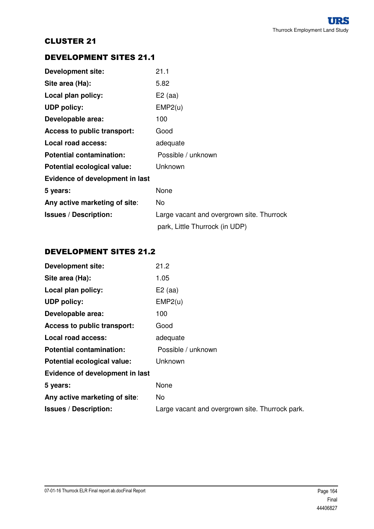## DEVELOPMENT SITES 21.1

| <b>Development site:</b>        | 21.1                                      |
|---------------------------------|-------------------------------------------|
| Site area (Ha):                 | 5.82                                      |
| Local plan policy:              | $E2$ (aa)                                 |
| <b>UDP</b> policy:              | EMP2(u)                                   |
| Developable area:               | 100                                       |
| Access to public transport:     | Good                                      |
| Local road access:              | adequate                                  |
| <b>Potential contamination:</b> | Possible / unknown                        |
| Potential ecological value:     | Unknown                                   |
| Evidence of development in last |                                           |
| 5 years:                        | None                                      |
| Any active marketing of site:   | No                                        |
| <b>Issues / Description:</b>    | Large vacant and overgrown site. Thurrock |
|                                 | park, Little Thurrock (in UDP)            |

## DEVELOPMENT SITES 21.2

| <b>Development site:</b>        | 21.2                                            |
|---------------------------------|-------------------------------------------------|
| Site area (Ha):                 | 1.05                                            |
| Local plan policy:              | $E2$ (aa)                                       |
| <b>UDP</b> policy:              | EMP2(u)                                         |
| Developable area:               | 100                                             |
| Access to public transport:     | Good                                            |
| Local road access:              | adequate                                        |
| <b>Potential contamination:</b> | Possible / unknown                              |
| Potential ecological value:     | Unknown                                         |
| Evidence of development in last |                                                 |
| 5 years:                        | None                                            |
| Any active marketing of site:   | <b>No</b>                                       |
| <b>Issues / Description:</b>    | Large vacant and overgrown site. Thurrock park. |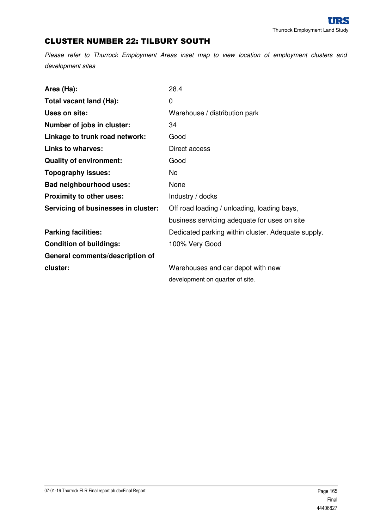## CLUSTER NUMBER 22: TILBURY SOUTH

| Area (Ha):                          | 28.4                                               |
|-------------------------------------|----------------------------------------------------|
| Total vacant land (Ha):             | $\overline{0}$                                     |
| Uses on site:                       | Warehouse / distribution park                      |
| Number of jobs in cluster:          | 34                                                 |
| Linkage to trunk road network:      | Good                                               |
| <b>Links to wharves:</b>            | Direct access                                      |
| <b>Quality of environment:</b>      | Good                                               |
| <b>Topography issues:</b>           | No.                                                |
| <b>Bad neighbourhood uses:</b>      | None                                               |
| Proximity to other uses:            | Industry / docks                                   |
| Servicing of businesses in cluster: | Off road loading / unloading, loading bays,        |
|                                     | business servicing adequate for uses on site       |
| <b>Parking facilities:</b>          | Dedicated parking within cluster. Adequate supply. |
| <b>Condition of buildings:</b>      | 100% Very Good                                     |
| General comments/description of     |                                                    |
| cluster:                            | Warehouses and car depot with new                  |
|                                     | development on quarter of site.                    |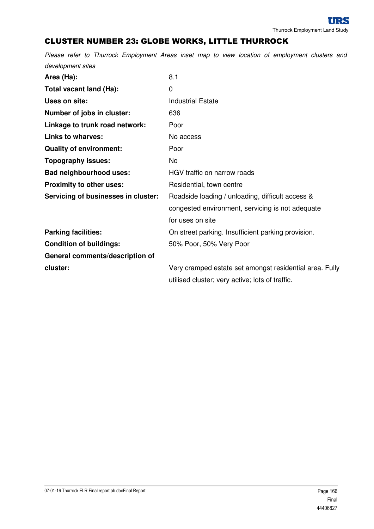# CLUSTER NUMBER 23: GLOBE WORKS, LITTLE THURROCK

| Area (Ha):                          | 8.1                                                     |
|-------------------------------------|---------------------------------------------------------|
| Total vacant land (Ha):             | 0                                                       |
| Uses on site:                       | <b>Industrial Estate</b>                                |
| Number of jobs in cluster:          | 636                                                     |
| Linkage to trunk road network:      | Poor                                                    |
| <b>Links to wharves:</b>            | No access                                               |
| <b>Quality of environment:</b>      | Poor                                                    |
| <b>Topography issues:</b>           | No                                                      |
| <b>Bad neighbourhood uses:</b>      | HGV traffic on narrow roads                             |
| Proximity to other uses:            | Residential, town centre                                |
| Servicing of businesses in cluster: | Roadside loading / unloading, difficult access &        |
|                                     | congested environment, servicing is not adequate        |
|                                     | for uses on site                                        |
| <b>Parking facilities:</b>          | On street parking. Insufficient parking provision.      |
| <b>Condition of buildings:</b>      | 50% Poor, 50% Very Poor                                 |
| General comments/description of     |                                                         |
| cluster:                            | Very cramped estate set amongst residential area. Fully |
|                                     | utilised cluster; very active; lots of traffic.         |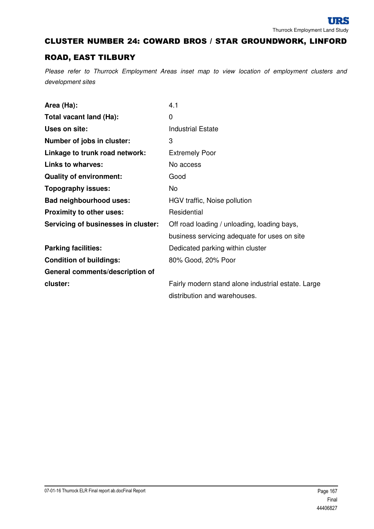## CLUSTER NUMBER 24: COWARD BROS / STAR GROUNDWORK, LINFORD

## ROAD, EAST TILBURY

| Area (Ha):                          | 4.1                                                |
|-------------------------------------|----------------------------------------------------|
| Total vacant land (Ha):             | 0                                                  |
| Uses on site:                       | <b>Industrial Estate</b>                           |
| Number of jobs in cluster:          | 3                                                  |
| Linkage to trunk road network:      | <b>Extremely Poor</b>                              |
| <b>Links to wharves:</b>            | No access                                          |
| <b>Quality of environment:</b>      | Good                                               |
| Topography issues:                  | No.                                                |
| <b>Bad neighbourhood uses:</b>      | HGV traffic, Noise pollution                       |
| <b>Proximity to other uses:</b>     | Residential                                        |
| Servicing of businesses in cluster: | Off road loading / unloading, loading bays,        |
|                                     | business servicing adequate for uses on site       |
| <b>Parking facilities:</b>          | Dedicated parking within cluster                   |
| <b>Condition of buildings:</b>      | 80% Good, 20% Poor                                 |
| General comments/description of     |                                                    |
| cluster:                            | Fairly modern stand alone industrial estate. Large |
|                                     | distribution and warehouses.                       |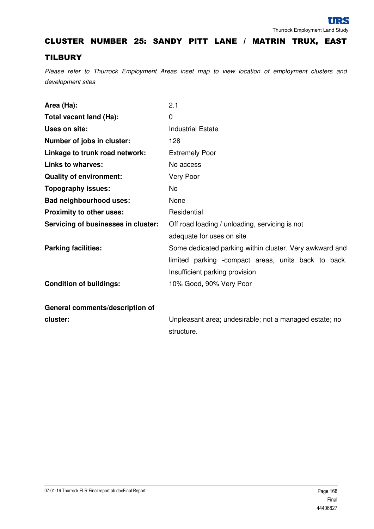#### CLUSTER NUMBER 25: SANDY PITT LANE / MATRIN TRUX, EAST

#### **TILBURY**

| Area (Ha):                          | 2.1                                                     |
|-------------------------------------|---------------------------------------------------------|
| Total vacant land (Ha):             | $\Omega$                                                |
| Uses on site:                       | <b>Industrial Estate</b>                                |
| Number of jobs in cluster:          | 128                                                     |
| Linkage to trunk road network:      | <b>Extremely Poor</b>                                   |
| <b>Links to wharves:</b>            | No access                                               |
| <b>Quality of environment:</b>      | Very Poor                                               |
| <b>Topography issues:</b>           | <b>No</b>                                               |
| <b>Bad neighbourhood uses:</b>      | None                                                    |
| <b>Proximity to other uses:</b>     | Residential                                             |
| Servicing of businesses in cluster: | Off road loading / unloading, servicing is not          |
|                                     | adequate for uses on site                               |
| <b>Parking facilities:</b>          | Some dedicated parking within cluster. Very awkward and |
|                                     | limited parking -compact areas, units back to back.     |
|                                     | Insufficient parking provision.                         |
| <b>Condition of buildings:</b>      | 10% Good, 90% Very Poor                                 |
|                                     |                                                         |
| General comments/description of     |                                                         |
| cluster:                            | Unpleasant area; undesirable; not a managed estate; no  |
|                                     | structure.                                              |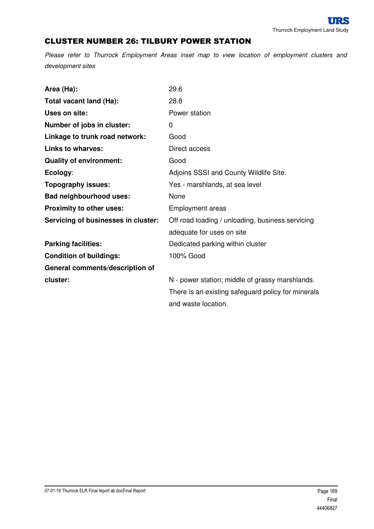## CLUSTER NUMBER 26: TILBURY POWER STATION

| Area (Ha):                          | 29.6                                               |
|-------------------------------------|----------------------------------------------------|
| Total vacant land (Ha):             | 28.8                                               |
| Uses on site:                       | Power station                                      |
| Number of jobs in cluster:          | 0                                                  |
| Linkage to trunk road network:      | Good                                               |
| <b>Links to wharves:</b>            | Direct access                                      |
| <b>Quality of environment:</b>      | Good                                               |
| Ecology:                            | Adjoins SSSI and County Wildlife Site.             |
| <b>Topography issues:</b>           | Yes - marshlands, at sea level                     |
| <b>Bad neighbourhood uses:</b>      | None                                               |
| Proximity to other uses:            | <b>Employment areas</b>                            |
| Servicing of businesses in cluster: | Off road loading / unloading, business servicing   |
|                                     | adequate for uses on site                          |
| <b>Parking facilities:</b>          | Dedicated parking within cluster                   |
| <b>Condition of buildings:</b>      | 100% Good                                          |
| General comments/description of     |                                                    |
| cluster:                            | N - power station; middle of grassy marshlands.    |
|                                     | There is an existing safeguard policy for minerals |
|                                     | and waste location.                                |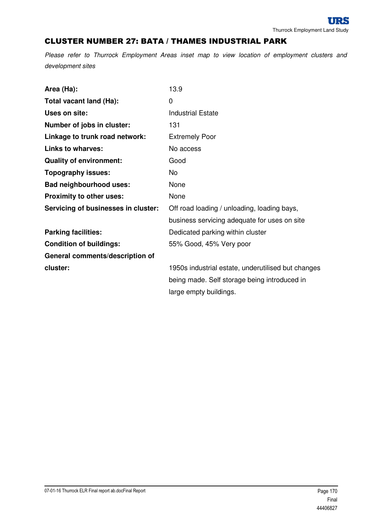#### CLUSTER NUMBER 27: BATA / THAMES INDUSTRIAL PARK

| Area (Ha):                          | 13.9                                               |
|-------------------------------------|----------------------------------------------------|
| Total vacant land (Ha):             | 0                                                  |
| Uses on site:                       | <b>Industrial Estate</b>                           |
| Number of jobs in cluster:          | 131                                                |
| Linkage to trunk road network:      | <b>Extremely Poor</b>                              |
| <b>Links to wharves:</b>            | No access                                          |
| <b>Quality of environment:</b>      | Good                                               |
| <b>Topography issues:</b>           | No                                                 |
| <b>Bad neighbourhood uses:</b>      | None                                               |
| Proximity to other uses:            | None                                               |
| Servicing of businesses in cluster: | Off road loading / unloading, loading bays,        |
|                                     | business servicing adequate for uses on site       |
| <b>Parking facilities:</b>          | Dedicated parking within cluster                   |
| <b>Condition of buildings:</b>      | 55% Good, 45% Very poor                            |
| General comments/description of     |                                                    |
| cluster:                            | 1950s industrial estate, underutilised but changes |
|                                     | being made. Self storage being introduced in       |
|                                     | large empty buildings.                             |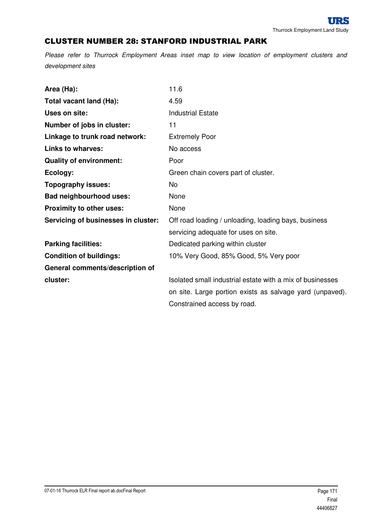## CLUSTER NUMBER 28: STANFORD INDUSTRIAL PARK

| Area (Ha):                          | 11.6                                                      |
|-------------------------------------|-----------------------------------------------------------|
| Total vacant land (Ha):             | 4.59                                                      |
| Uses on site:                       | <b>Industrial Estate</b>                                  |
| Number of jobs in cluster:          | 11                                                        |
| Linkage to trunk road network:      | <b>Extremely Poor</b>                                     |
| <b>Links to wharves:</b>            | No access                                                 |
| <b>Quality of environment:</b>      | Poor                                                      |
| Ecology:                            | Green chain covers part of cluster.                       |
| <b>Topography issues:</b>           | <b>No</b>                                                 |
| <b>Bad neighbourhood uses:</b>      | None                                                      |
| Proximity to other uses:            | None                                                      |
| Servicing of businesses in cluster: | Off road loading / unloading, loading bays, business      |
|                                     | servicing adequate for uses on site.                      |
| <b>Parking facilities:</b>          | Dedicated parking within cluster                          |
| <b>Condition of buildings:</b>      | 10% Very Good, 85% Good, 5% Very poor                     |
| General comments/description of     |                                                           |
| cluster:                            | Isolated small industrial estate with a mix of businesses |
|                                     | on site. Large portion exists as salvage yard (unpaved).  |
|                                     | Constrained access by road.                               |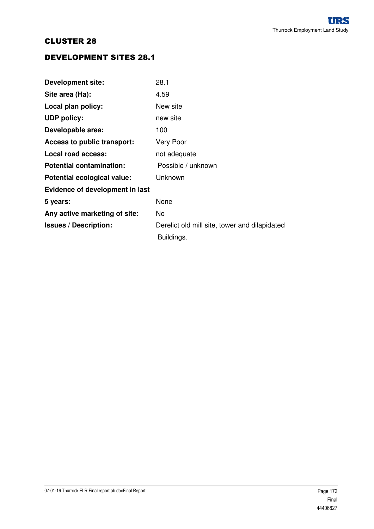## DEVELOPMENT SITES 28.1

| <b>Development site:</b>        | 28.1                                          |
|---------------------------------|-----------------------------------------------|
| Site area (Ha):                 | 4.59                                          |
| Local plan policy:              | New site                                      |
| <b>UDP policy:</b>              | new site                                      |
| Developable area:               | 100                                           |
| Access to public transport:     | Very Poor                                     |
| Local road access:              | not adequate                                  |
| <b>Potential contamination:</b> | Possible / unknown                            |
| Potential ecological value:     | Unknown                                       |
| Evidence of development in last |                                               |
| 5 years:                        | None                                          |
| Any active marketing of site:   | No.                                           |
| <b>Issues / Description:</b>    | Derelict old mill site, tower and dilapidated |
|                                 | Buildings.                                    |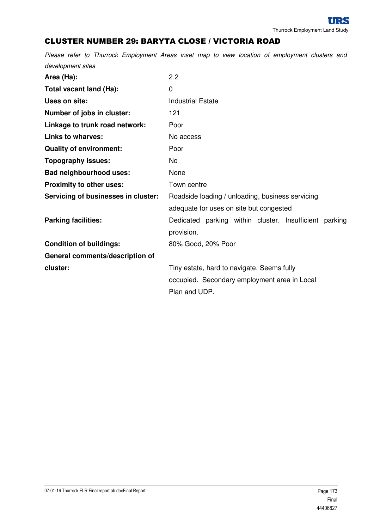# CLUSTER NUMBER 29: BARYTA CLOSE / VICTORIA ROAD

| Area (Ha):                          | 2.2                                                    |
|-------------------------------------|--------------------------------------------------------|
| Total vacant land (Ha):             | 0                                                      |
| Uses on site:                       | <b>Industrial Estate</b>                               |
| Number of jobs in cluster:          | 121                                                    |
| Linkage to trunk road network:      | Poor                                                   |
| <b>Links to wharves:</b>            | No access                                              |
| <b>Quality of environment:</b>      | Poor                                                   |
| <b>Topography issues:</b>           | No.                                                    |
| <b>Bad neighbourhood uses:</b>      | None                                                   |
| Proximity to other uses:            | Town centre                                            |
| Servicing of businesses in cluster: | Roadside loading / unloading, business servicing       |
|                                     | adequate for uses on site but congested                |
| <b>Parking facilities:</b>          | Dedicated parking within cluster. Insufficient parking |
|                                     | provision.                                             |
| <b>Condition of buildings:</b>      | 80% Good, 20% Poor                                     |
| General comments/description of     |                                                        |
| cluster:                            | Tiny estate, hard to navigate. Seems fully             |
|                                     | occupied. Secondary employment area in Local           |
|                                     | Plan and UDP.                                          |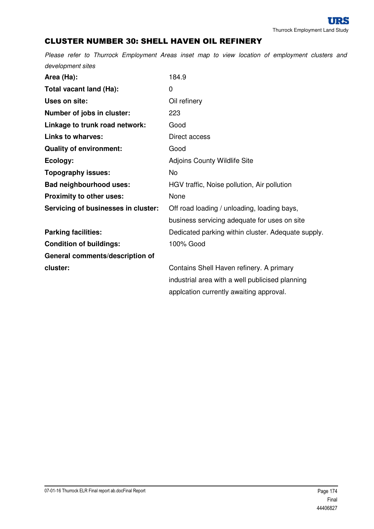# CLUSTER NUMBER 30: SHELL HAVEN OIL REFINERY

| Area (Ha):                          | 184.9                                              |
|-------------------------------------|----------------------------------------------------|
| Total vacant land (Ha):             | 0                                                  |
| Uses on site:                       | Oil refinery                                       |
| Number of jobs in cluster:          | 223                                                |
| Linkage to trunk road network:      | Good                                               |
| <b>Links to wharves:</b>            | Direct access                                      |
| <b>Quality of environment:</b>      | Good                                               |
| Ecology:                            | <b>Adjoins County Wildlife Site</b>                |
| <b>Topography issues:</b>           | <b>No</b>                                          |
| <b>Bad neighbourhood uses:</b>      | HGV traffic, Noise pollution, Air pollution        |
| Proximity to other uses:            | None                                               |
| Servicing of businesses in cluster: | Off road loading / unloading, loading bays,        |
|                                     | business servicing adequate for uses on site       |
| <b>Parking facilities:</b>          | Dedicated parking within cluster. Adequate supply. |
| <b>Condition of buildings:</b>      | 100% Good                                          |
| General comments/description of     |                                                    |
| cluster:                            | Contains Shell Haven refinery. A primary           |
|                                     | industrial area with a well publicised planning    |
|                                     | applcation currently awaiting approval.            |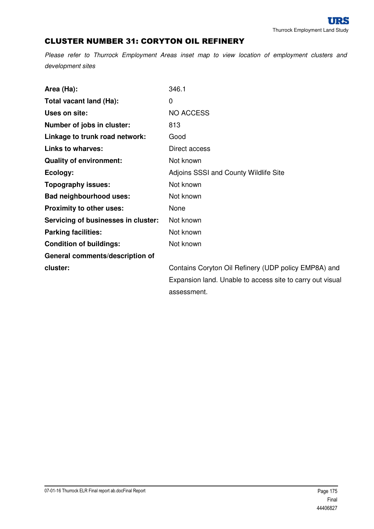## CLUSTER NUMBER 31: CORYTON OIL REFINERY

| Area (Ha):                          | 346.1                                                     |
|-------------------------------------|-----------------------------------------------------------|
| Total vacant land (Ha):             | 0                                                         |
| Uses on site:                       | <b>NO ACCESS</b>                                          |
| Number of jobs in cluster:          | 813                                                       |
| Linkage to trunk road network:      | Good                                                      |
| <b>Links to wharves:</b>            | Direct access                                             |
| <b>Quality of environment:</b>      | Not known                                                 |
| Ecology:                            | Adjoins SSSI and County Wildlife Site                     |
| <b>Topography issues:</b>           | Not known                                                 |
| <b>Bad neighbourhood uses:</b>      | Not known                                                 |
| <b>Proximity to other uses:</b>     | None                                                      |
| Servicing of businesses in cluster: | Not known                                                 |
| <b>Parking facilities:</b>          | Not known                                                 |
| <b>Condition of buildings:</b>      | Not known                                                 |
| General comments/description of     |                                                           |
| cluster:                            | Contains Coryton Oil Refinery (UDP policy EMP8A) and      |
|                                     | Expansion land. Unable to access site to carry out visual |
|                                     | assessment.                                               |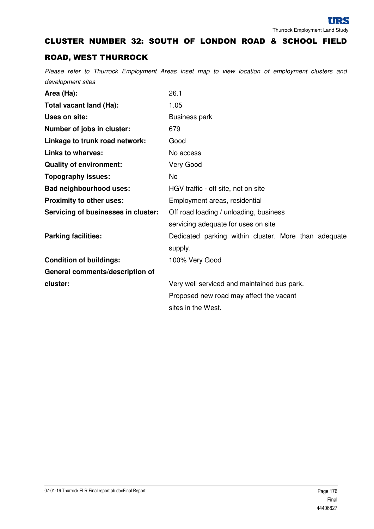## CLUSTER NUMBER 32: SOUTH OF LONDON ROAD & SCHOOL FIELD

## ROAD, WEST THURROCK

| Area (Ha):                          | 26.1                                                            |
|-------------------------------------|-----------------------------------------------------------------|
| Total vacant land (Ha):             | 1.05                                                            |
| Uses on site:                       | <b>Business park</b>                                            |
| Number of jobs in cluster:          | 679                                                             |
| Linkage to trunk road network:      | Good                                                            |
| <b>Links to wharves:</b>            | No access                                                       |
| <b>Quality of environment:</b>      | Very Good                                                       |
| <b>Topography issues:</b>           | No                                                              |
| <b>Bad neighbourhood uses:</b>      | HGV traffic - off site, not on site                             |
| Proximity to other uses:            | Employment areas, residential                                   |
| Servicing of businesses in cluster: | Off road loading / unloading, business                          |
|                                     | servicing adequate for uses on site                             |
| <b>Parking facilities:</b>          | Dedicated parking within cluster. More than adequate<br>supply. |
| <b>Condition of buildings:</b>      | 100% Very Good                                                  |
| General comments/description of     |                                                                 |
| cluster:                            | Very well serviced and maintained bus park.                     |
|                                     | Proposed new road may affect the vacant                         |
|                                     | sites in the West.                                              |
|                                     |                                                                 |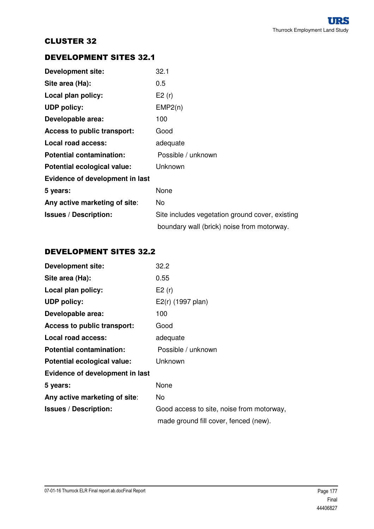## DEVELOPMENT SITES 32.1

| <b>Development site:</b>        | 32.1                                            |
|---------------------------------|-------------------------------------------------|
| Site area (Ha):                 | 0.5                                             |
| Local plan policy:              | E2(r)                                           |
| <b>UDP policy:</b>              | EMP2(n)                                         |
| Developable area:               | 100                                             |
| Access to public transport:     | Good                                            |
| Local road access:              | adequate                                        |
| <b>Potential contamination:</b> | Possible / unknown                              |
| Potential ecological value:     | Unknown                                         |
| Evidence of development in last |                                                 |
| 5 years:                        | None                                            |
| Any active marketing of site:   | No.                                             |
| <b>Issues / Description:</b>    | Site includes vegetation ground cover, existing |
|                                 | boundary wall (brick) noise from motorway.      |

## DEVELOPMENT SITES 32.2

| <b>Development site:</b>        | 32.2                                      |
|---------------------------------|-------------------------------------------|
| Site area (Ha):                 | 0.55                                      |
| Local plan policy:              | E2(r)                                     |
| <b>UDP</b> policy:              | E2(r) (1997 plan)                         |
| Developable area:               | 100                                       |
| Access to public transport:     | Good                                      |
| Local road access:              | adequate                                  |
| <b>Potential contamination:</b> | Possible / unknown                        |
| Potential ecological value:     | Unknown                                   |
| Evidence of development in last |                                           |
| 5 years:                        | None                                      |
| Any active marketing of site:   | No.                                       |
| <b>Issues / Description:</b>    | Good access to site, noise from motorway, |
|                                 | made ground fill cover, fenced (new).     |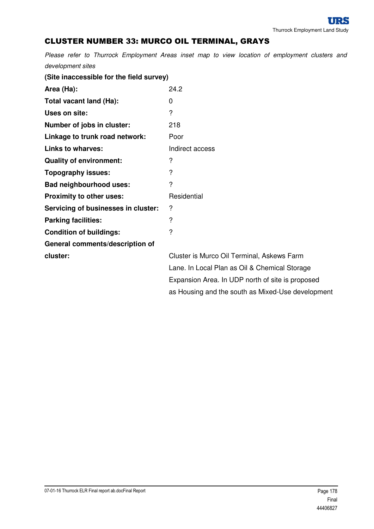# CLUSTER NUMBER 33: MURCO OIL TERMINAL, GRAYS

| (Site inaccessible for the field survey) |                                                   |
|------------------------------------------|---------------------------------------------------|
| Area (Ha):                               | 24.2                                              |
| Total vacant land (Ha):                  | 0                                                 |
| Uses on site:                            | $\overline{?}$                                    |
| Number of jobs in cluster:               | 218                                               |
| Linkage to trunk road network:           | Poor                                              |
| <b>Links to wharves:</b>                 | Indirect access                                   |
| <b>Quality of environment:</b>           | ?                                                 |
| <b>Topography issues:</b>                | ?                                                 |
| <b>Bad neighbourhood uses:</b>           | $\overline{?}$                                    |
| Proximity to other uses:                 | Residential                                       |
| Servicing of businesses in cluster:      | ?                                                 |
| <b>Parking facilities:</b>               | ?                                                 |
| <b>Condition of buildings:</b>           | $\overline{?}$                                    |
| General comments/description of          |                                                   |
| cluster:                                 | Cluster is Murco Oil Terminal, Askews Farm        |
|                                          | Lane. In Local Plan as Oil & Chemical Storage     |
|                                          | Expansion Area. In UDP north of site is proposed  |
|                                          | as Housing and the south as Mixed-Use development |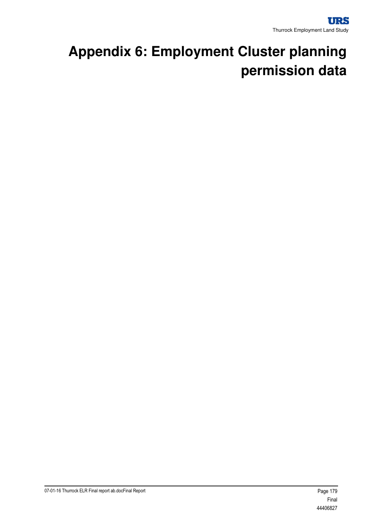# **Appendix 6: Employment Cluster planning permission data**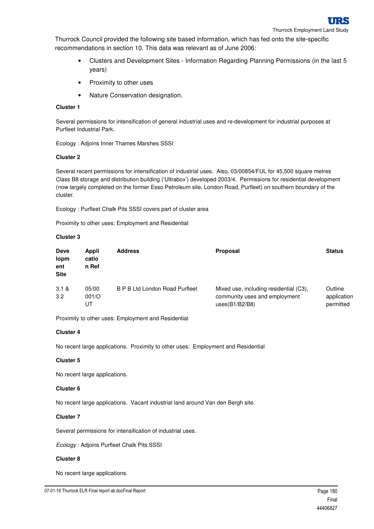

Thurrock Employment Land Study

Thurrock Council provided the following site based information, which has fed onto the site-specific recommendations in section 10. This data was relevant as of June 2006:

- Clusters and Development Sites Information Regarding Planning Permissions (in the last 5 years)
- Proximity to other uses
- Nature Conservation designation.

## **Cluster 1**

Several permissions for intensification of general industrial uses and re-development for industrial purposes at Purfleet Industrial Park.

Ecology : Adjoins Inner Thames Marshes SSSI

### **Cluster 2**

Several recent permissions for intensification of industrial uses. Also, 03/00854/FUL for 45,500 square metres Class B8 storage and distribution building ('Ultrabox') developed 2003/4. Permissions for residential development (now largely completed on the former Esso Petroleum site, London Road, Purfleet) on southern boundary of the cluster.

Ecology : Purfleet Chalk Pits SSSI covers part of cluster area

Proximity to other uses: Employment and Residential

### **Cluster 3**

| <b>Deve</b><br>lopm<br>ent<br><b>Site</b> | Appli<br>catio<br>n Ref | <b>Address</b>                        | <b>Proposal</b>                                                                           | <b>Status</b>                       |
|-------------------------------------------|-------------------------|---------------------------------------|-------------------------------------------------------------------------------------------|-------------------------------------|
| 3.1 &<br>3.2                              | 05/00<br>001/O<br>UT    | <b>B P B Ltd London Road Purfleet</b> | Mixed use, including residential (C3),<br>community uses and employment<br>uses(B1/B2/B8) | Outline<br>application<br>permitted |

Proximity to other uses: Employment and Residential

## **Cluster 4**

No recent large applications. Proximity to other uses: Employment and Residential

#### **Cluster 5**

No recent large applications.

## **Cluster 6**

No recent large applications. Vacant industrial land around Van den Bergh site.

## **Cluster 7**

Several permissions for intensification of industrial uses.

Ecology : Adjoins Purfleet Chalk Pits SSSI

## **Cluster 8**

No recent large applications.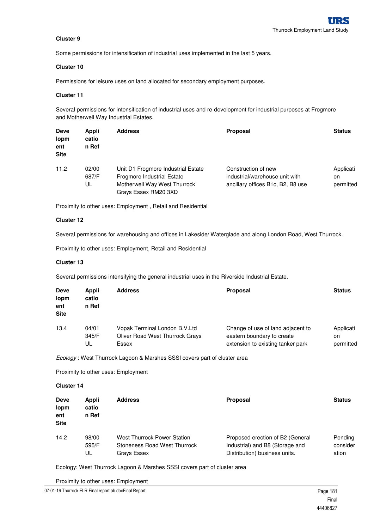Some permissions for intensification of industrial uses implemented in the last 5 years.

### **Cluster 10**

Permissions for leisure uses on land allocated for secondary employment purposes.

#### **Cluster 11**

Several permissions for intensification of industrial uses and re-development for industrial purposes at Frogmore and Motherwell Way Industrial Estates.

| <b>Deve</b><br>lopm<br>ent<br><b>Site</b> | Appli<br>catio<br>n Ref | <b>Address</b>                                                                                                                  | <b>Proposal</b>                                                                            | <b>Status</b>                |
|-------------------------------------------|-------------------------|---------------------------------------------------------------------------------------------------------------------------------|--------------------------------------------------------------------------------------------|------------------------------|
| 11.2                                      | 02/00<br>687/F<br>UL    | Unit D1 Frogmore Industrial Estate<br><b>Frogmore Industrial Estate</b><br>Motherwell Way West Thurrock<br>Grays Essex RM20 3XD | Construction of new<br>industrial/warehouse unit with<br>ancillary offices B1c, B2, B8 use | Applicati<br>on<br>permitted |

Proximity to other uses: Employment , Retail and Residential

#### **Cluster 12**

Several permissions for warehousing and offices in Lakeside/ Waterglade and along London Road, West Thurrock.

Proximity to other uses: Employment, Retail and Residential

#### **Cluster 13**

Several permissions intensifying the general industrial uses in the Riverside Industrial Estate.

| <b>Deve</b><br>lopm<br>ent<br><b>Site</b> | Appli<br>catio<br>n Ref | <b>Address</b>                         | <b>Proposal</b>                   | <b>Status</b> |
|-------------------------------------------|-------------------------|----------------------------------------|-----------------------------------|---------------|
| 13.4                                      | 04/01                   | Vopak Terminal London B.V.Ltd          | Change of use of land adjacent to | Applicati     |
|                                           | 345/F                   | <b>Oliver Road West Thurrock Grays</b> | eastern boundary to create        | on            |
|                                           | UL                      | Essex                                  | extension to existing tanker park | permitted     |

Ecology : West Thurrock Lagoon & Marshes SSSI covers part of cluster area

Proximity to other uses: Employment

### **Cluster 14**

| <b>Deve</b><br>lopm<br>ent<br><b>Site</b> | Appli<br>catio<br>n Ref | <b>Address</b>               | <b>Proposal</b>                  | <b>Status</b> |
|-------------------------------------------|-------------------------|------------------------------|----------------------------------|---------------|
| 14.2                                      | 98/00                   | West Thurrock Power Station  | Proposed erection of B2 (General | Pending       |
|                                           | 595/F                   | Stoneness Road West Thurrock | Industrial) and B8 (Storage and  | consider      |
|                                           | UL                      | Grays Essex                  | Distribution) business units.    | ation         |

Ecology: West Thurrock Lagoon & Marshes SSSI covers part of cluster area

Proximity to other uses: Employment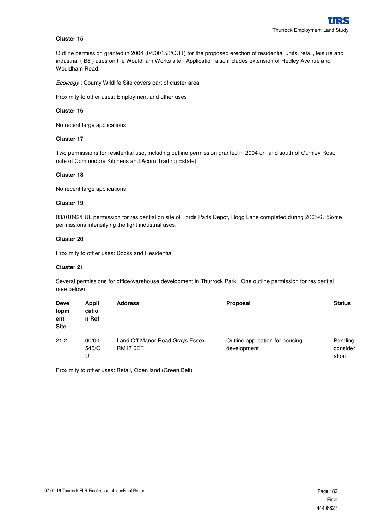Outline permission granted in 2004 (04/00153/OUT) for the proposed erection of residential units, retail, leisure and industrial ( B8 ) uses on the Wouldham Works site. Application also includes extension of Hedley Avenue and Wouldham Road.

Ecolcogy : County Wildlife Site covers part of cluster area

Proximity to other uses: Employment and other uses

#### **Cluster 16**

No recent large applications.

### **Cluster 17**

Two permissions for residential use, including outline permission granted in 2004 on land south of Gumley Road (site of Commodore Kitchens and Acorn Trading Estate).

## **Cluster 18**

No recent large applications.

### **Cluster 19**

03/01092/FUL permission for residential on site of Fords Parts Depot, Hogg Lane completed during 2005/6. Some permissions intensifying the light industrial uses.

### **Cluster 20**

Proximity to other uses: Docks and Residential

#### **Cluster 21**

Several permissions for office/warehouse development in Thurrock Park. One outline permission for residential (see below)

| <b>Deve</b><br>lopm<br>ent<br><b>Site</b> | Appli<br>catio<br>n Ref | <b>Address</b>                                     | Proposal                                       | <b>Status</b>                |
|-------------------------------------------|-------------------------|----------------------------------------------------|------------------------------------------------|------------------------------|
| 21.2                                      | 00/00<br>545/O<br>UT    | Land Off Manor Road Grays Essex<br><b>RM17 6EF</b> | Outline application for housing<br>development | Pending<br>consider<br>ation |

Proximity to other uses: Retail, Open land (Green Belt)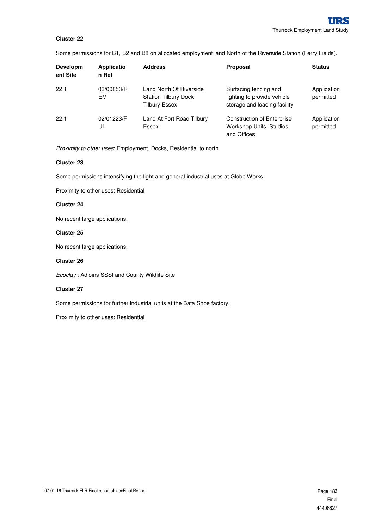Some permissions for B1, B2 and B8 on allocated employment land North of the Riverside Station (Ferry Fields).

| Developm<br>ent Site | <b>Applicatio</b><br>n Ref | <b>Address</b>                                                                 | <b>Proposal</b>                                                                      | <b>Status</b>            |
|----------------------|----------------------------|--------------------------------------------------------------------------------|--------------------------------------------------------------------------------------|--------------------------|
| 22.1                 | 03/00853/R<br>EM           | Land North Of Riverside<br><b>Station Tilbury Dock</b><br><b>Tilbury Essex</b> | Surfacing fencing and<br>lighting to provide vehicle<br>storage and loading facility | Application<br>permitted |
| 22.1                 | 02/01223/F<br>UL           | Land At Fort Road Tilbury<br>Essex                                             | <b>Construction of Enterprise</b><br>Workshop Units, Studios<br>and Offices          | Application<br>permitted |

Proximity to other uses: Employment, Docks, Residential to north.

## **Cluster 23**

Some permissions intensifying the light and general industrial uses at Globe Works.

Proximity to other uses: Residential

### **Cluster 24**

No recent large applications.

### **Cluster 25**

No recent large applications.

### **Cluster 26**

Ecoclgy : Adjoins SSSI and County Wildlife Site

### **Cluster 27**

Some permissions for further industrial units at the Bata Shoe factory.

Proximity to other uses: Residential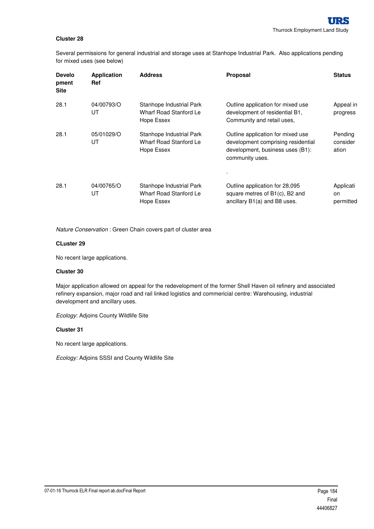Several permissions for general industrial and storage uses at Stanhope Industrial Park. Also applications pending for mixed uses (see below)

| <b>Develo</b><br>pment<br><b>Site</b> | <b>Application</b><br><b>Ref</b> | <b>Address</b>                                                   | <b>Proposal</b>                                                                                                                | <b>Status</b>                |
|---------------------------------------|----------------------------------|------------------------------------------------------------------|--------------------------------------------------------------------------------------------------------------------------------|------------------------------|
| 28.1                                  | 04/00793/O<br>UT                 | Stanhope Industrial Park<br>Wharf Road Stanford Le<br>Hope Essex | Outline application for mixed use<br>development of residential B1,<br>Community and retail uses,                              | Appeal in<br>progress        |
| 28.1                                  | 05/01029/O<br>UT                 | Stanhope Industrial Park<br>Wharf Road Stanford Le<br>Hope Essex | Outline application for mixed use<br>development comprising residential<br>development, business uses (B1):<br>community uses. | Pending<br>consider<br>ation |
|                                       |                                  |                                                                  |                                                                                                                                |                              |
| 28.1                                  | 04/00765/O<br>UT                 | Stanhope Industrial Park<br>Wharf Road Stanford Le<br>Hope Essex | Outline application for 28,095<br>square metres of B1(c), B2 and<br>ancillary B1(a) and B8 uses.                               | Applicati<br>on<br>permitted |

Nature Conservation : Green Chain covers part of cluster area

### **CLuster 29**

No recent large applications.

#### **Cluster 30**

Major application allowed on appeal for the redevelopment of the former Shell Haven oil refinery and associated refinery expansion, major road and rail linked logistics and commericial centre: Warehousing, industrial development and ancillary uses.

Ecology: Adjoins County Wildlife Site

### **Cluster 31**

No recent large applications.

Ecology: Adjoins SSSI and County Wildlife Site